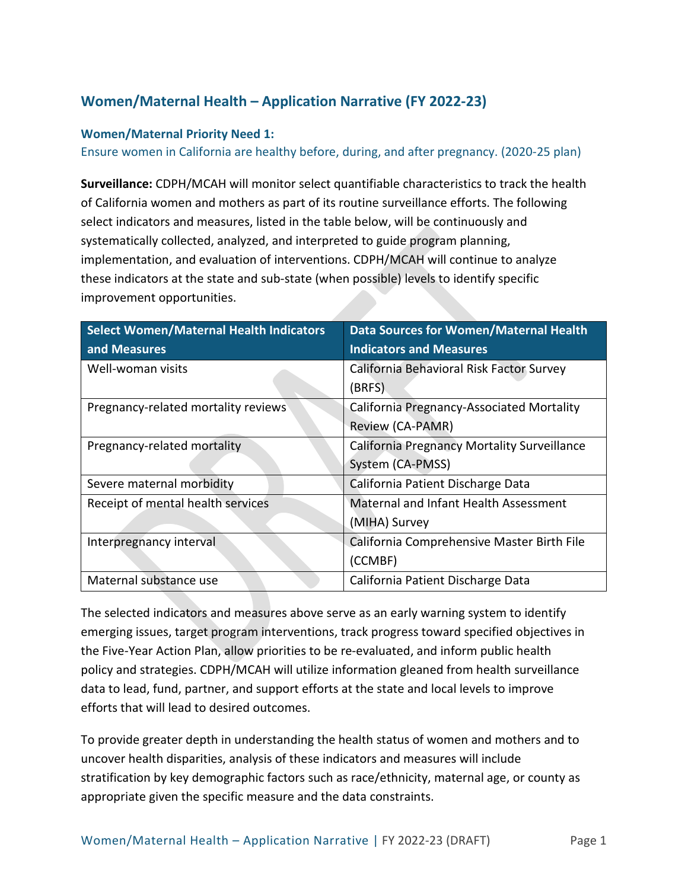# **Women/Maternal Health – Application Narrative (FY 2022-23)**

#### **Women/Maternal Priority Need 1:**

Ensure women in California are healthy before, during, and after pregnancy. (2020-25 plan)

**Surveillance:** CDPH/MCAH will monitor select quantifiable characteristics to track the health of California women and mothers as part of its routine surveillance efforts. The following select indicators and measures, listed in the table below, will be continuously and systematically collected, analyzed, and interpreted to guide program planning, implementation, and evaluation of interventions. CDPH/MCAH will continue to analyze these indicators at the state and sub-state (when possible) levels to identify specific improvement opportunities.

| <b>Select Women/Maternal Health Indicators</b> | <b>Data Sources for Women/Maternal Health</b>      |
|------------------------------------------------|----------------------------------------------------|
| and Measures                                   | <b>Indicators and Measures</b>                     |
| Well-woman visits                              | California Behavioral Risk Factor Survey           |
|                                                | (BRFS)                                             |
| Pregnancy-related mortality reviews            | California Pregnancy-Associated Mortality          |
|                                                | Review (CA-PAMR)                                   |
| Pregnancy-related mortality                    | <b>California Pregnancy Mortality Surveillance</b> |
|                                                | System (CA-PMSS)                                   |
| Severe maternal morbidity                      | California Patient Discharge Data                  |
| Receipt of mental health services              | Maternal and Infant Health Assessment              |
|                                                | (MIHA) Survey                                      |
| Interpregnancy interval                        | California Comprehensive Master Birth File         |
|                                                | (CCMBF)                                            |
| Maternal substance use                         | California Patient Discharge Data                  |

The selected indicators and measures above serve as an early warning system to identify emerging issues, target program interventions, track progress toward specified objectives in the Five-Year Action Plan, allow priorities to be re-evaluated, and inform public health policy and strategies. CDPH/MCAH will utilize information gleaned from health surveillance data to lead, fund, partner, and support efforts at the state and local levels to improve efforts that will lead to desired outcomes.

To provide greater depth in understanding the health status of women and mothers and to uncover health disparities, analysis of these indicators and measures will include stratification by key demographic factors such as race/ethnicity, maternal age, or county as appropriate given the specific measure and the data constraints.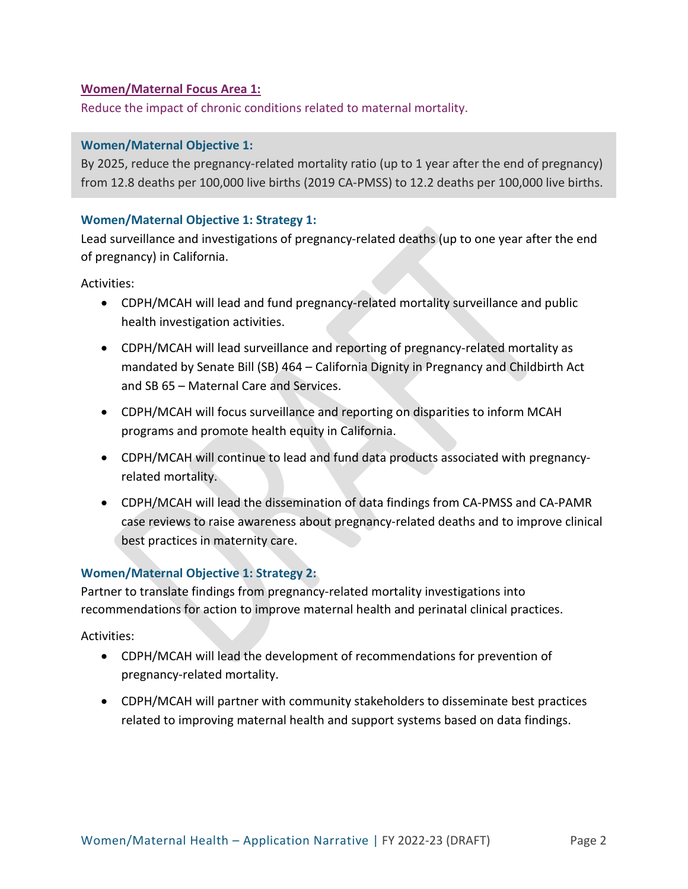#### **Women/Maternal Focus Area 1:**

Reduce the impact of chronic conditions related to maternal mortality.

#### **Women/Maternal Objective 1:**

By 2025, reduce the pregnancy-related mortality ratio (up to 1 year after the end of pregnancy) from 12.8 deaths per 100,000 live births (2019 CA-PMSS) to 12.2 deaths per 100,000 live births.

#### **Women/Maternal Objective 1: Strategy 1:**

Lead surveillance and investigations of pregnancy-related deaths (up to one year after the end of pregnancy) in California.

Activities:

- CDPH/MCAH will lead and fund pregnancy-related mortality surveillance and public health investigation activities.
- CDPH/MCAH will lead surveillance and reporting of pregnancy-related mortality as mandated by Senate Bill (SB) 464 – California Dignity in Pregnancy and Childbirth Act and SB 65 – Maternal Care and Services.
- CDPH/MCAH will focus surveillance and reporting on disparities to inform MCAH programs and promote health equity in California.
- CDPH/MCAH will continue to lead and fund data products associated with pregnancyrelated mortality.
- CDPH/MCAH will lead the dissemination of data findings from CA-PMSS and CA-PAMR case reviews to raise awareness about pregnancy-related deaths and to improve clinical best practices in maternity care.

#### **Women/Maternal Objective 1: Strategy 2:**

Partner to translate findings from pregnancy-related mortality investigations into recommendations for action to improve maternal health and perinatal clinical practices.

- CDPH/MCAH will lead the development of recommendations for prevention of pregnancy-related mortality.
- CDPH/MCAH will partner with community stakeholders to disseminate best practices related to improving maternal health and support systems based on data findings.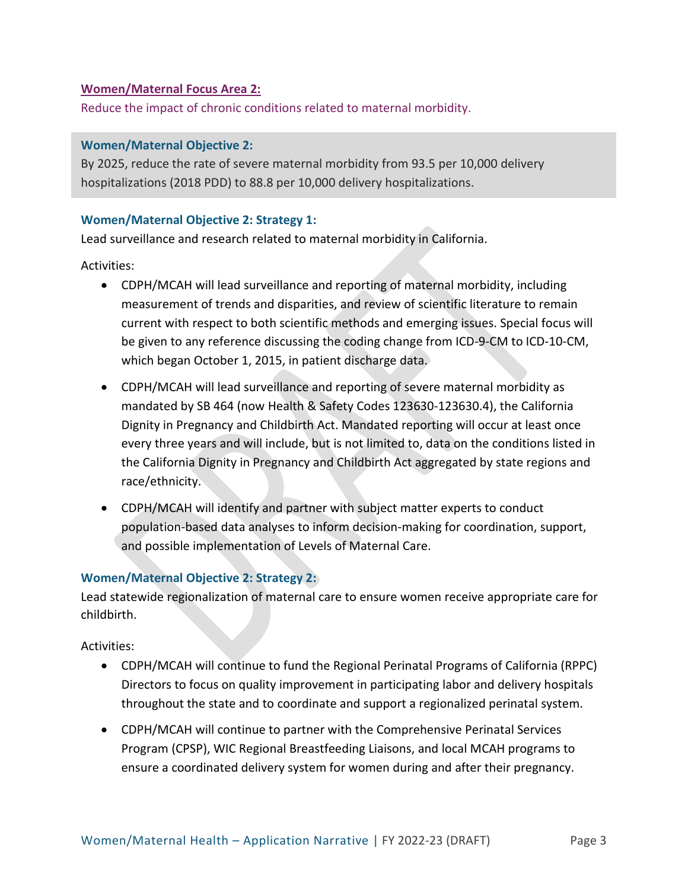#### **Women/Maternal Focus Area 2:**

Reduce the impact of chronic conditions related to maternal morbidity.

#### **Women/Maternal Objective 2:**

By 2025, reduce the rate of severe maternal morbidity from 93.5 per 10,000 delivery hospitalizations (2018 PDD) to 88.8 per 10,000 delivery hospitalizations.

#### **Women/Maternal Objective 2: Strategy 1:**

Lead surveillance and research related to maternal morbidity in California.

Activities:

- CDPH/MCAH will lead surveillance and reporting of maternal morbidity, including measurement of trends and disparities, and review of scientific literature to remain current with respect to both scientific methods and emerging issues. Special focus will be given to any reference discussing the coding change from ICD-9-CM to ICD-10-CM, which began October 1, 2015, in patient discharge data.
- CDPH/MCAH will lead surveillance and reporting of severe maternal morbidity as mandated by SB 464 (now Health & Safety Codes 123630-123630.4), the California Dignity in Pregnancy and Childbirth Act. Mandated reporting will occur at least once every three years and will include, but is not limited to, data on the conditions listed in the California Dignity in Pregnancy and Childbirth Act aggregated by state regions and race/ethnicity.
- CDPH/MCAH will identify and partner with subject matter experts to conduct population-based data analyses to inform decision-making for coordination, support, and possible implementation of Levels of Maternal Care.

## **Women/Maternal Objective 2: Strategy 2:**

Lead statewide regionalization of maternal care to ensure women receive appropriate care for childbirth.

- CDPH/MCAH will continue to fund the Regional Perinatal Programs of California (RPPC) Directors to focus on quality improvement in participating labor and delivery hospitals throughout the state and to coordinate and support a regionalized perinatal system.
- CDPH/MCAH will continue to partner with the Comprehensive Perinatal Services Program (CPSP), WIC Regional Breastfeeding Liaisons, and local MCAH programs to ensure a coordinated delivery system for women during and after their pregnancy.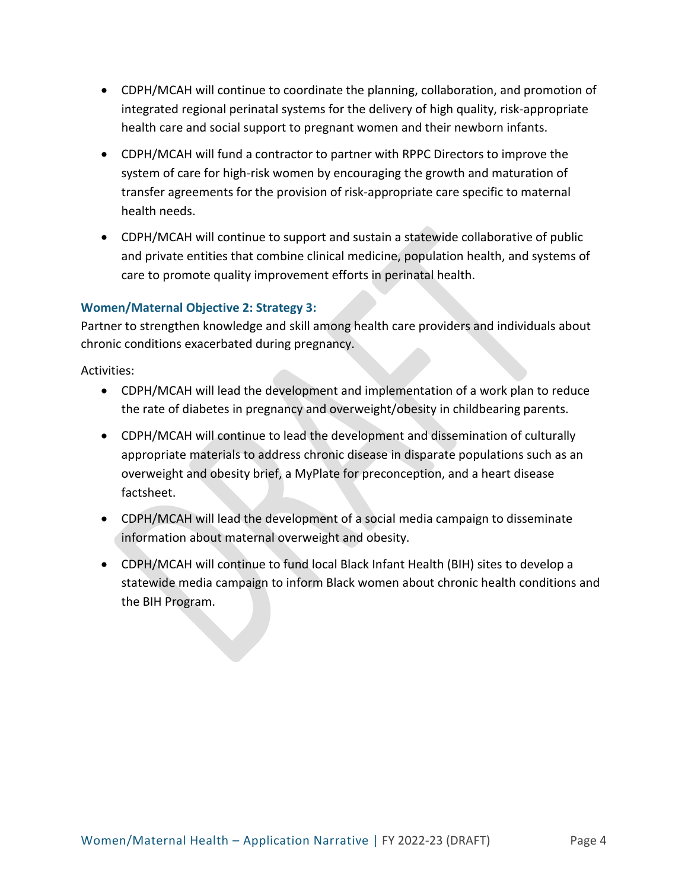- CDPH/MCAH will continue to coordinate the planning, collaboration, and promotion of integrated regional perinatal systems for the delivery of high quality, risk-appropriate health care and social support to pregnant women and their newborn infants.
- CDPH/MCAH will fund a contractor to partner with RPPC Directors to improve the system of care for high-risk women by encouraging the growth and maturation of transfer agreements for the provision of risk-appropriate care specific to maternal health needs.
- CDPH/MCAH will continue to support and sustain a statewide collaborative of public and private entities that combine clinical medicine, population health, and systems of care to promote quality improvement efforts in perinatal health.

## **Women/Maternal Objective 2: Strategy 3:**

Partner to strengthen knowledge and skill among health care providers and individuals about chronic conditions exacerbated during pregnancy.

- CDPH/MCAH will lead the development and implementation of a work plan to reduce the rate of diabetes in pregnancy and overweight/obesity in childbearing parents.
- CDPH/MCAH will continue to lead the development and dissemination of culturally appropriate materials to address chronic disease in disparate populations such as an overweight and obesity brief, a MyPlate for preconception, and a heart disease factsheet.
- CDPH/MCAH will lead the development of a social media campaign to disseminate information about maternal overweight and obesity.
- CDPH/MCAH will continue to fund local Black Infant Health (BIH) sites to develop a statewide media campaign to inform Black women about chronic health conditions and the BIH Program.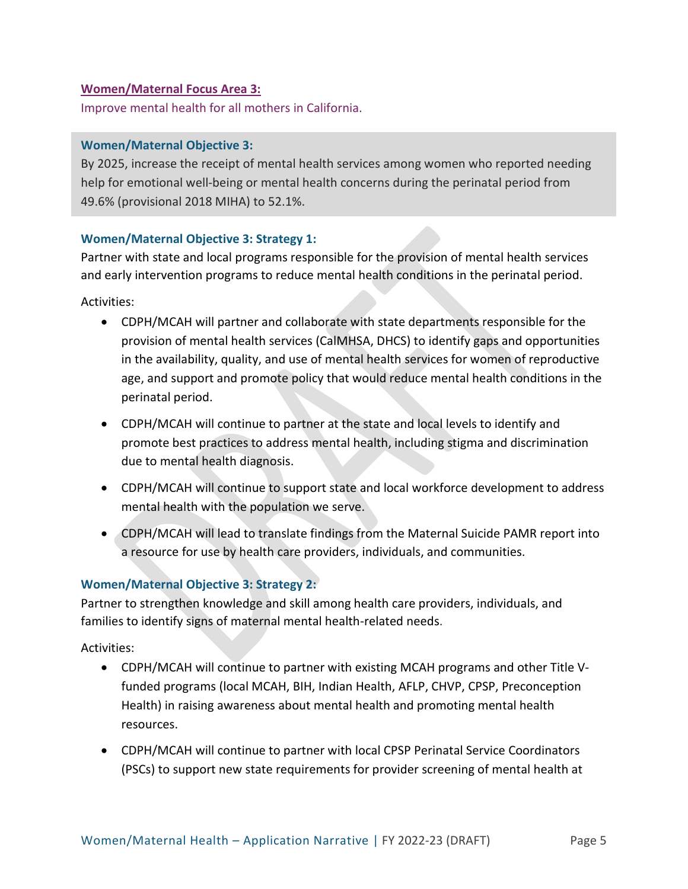#### **Women/Maternal Focus Area 3:**

Improve mental health for all mothers in California.

#### **Women/Maternal Objective 3:**

By 2025, increase the receipt of mental health services among women who reported needing help for emotional well-being or mental health concerns during the perinatal period from 49.6% (provisional 2018 MIHA) to 52.1%.

#### **Women/Maternal Objective 3: Strategy 1:**

Partner with state and local programs responsible for the provision of mental health services and early intervention programs to reduce mental health conditions in the perinatal period.

Activities:

- CDPH/MCAH will partner and collaborate with state departments responsible for the provision of mental health services (CalMHSA, DHCS) to identify gaps and opportunities in the availability, quality, and use of mental health services for women of reproductive age, and support and promote policy that would reduce mental health conditions in the perinatal period.
- CDPH/MCAH will continue to partner at the state and local levels to identify and promote best practices to address mental health, including stigma and discrimination due to mental health diagnosis.
- CDPH/MCAH will continue to support state and local workforce development to address mental health with the population we serve.
- CDPH/MCAH will lead to translate findings from the Maternal Suicide PAMR report into a resource for use by health care providers, individuals, and communities.

## **Women/Maternal Objective 3: Strategy 2:**

Partner to strengthen knowledge and skill among health care providers, individuals, and families to identify signs of maternal mental health-related needs.

- CDPH/MCAH will continue to partner with existing MCAH programs and other Title Vfunded programs (local MCAH, BIH, Indian Health, AFLP, CHVP, CPSP, Preconception Health) in raising awareness about mental health and promoting mental health resources.
- CDPH/MCAH will continue to partner with local CPSP Perinatal Service Coordinators (PSCs) to support new state requirements for provider screening of mental health at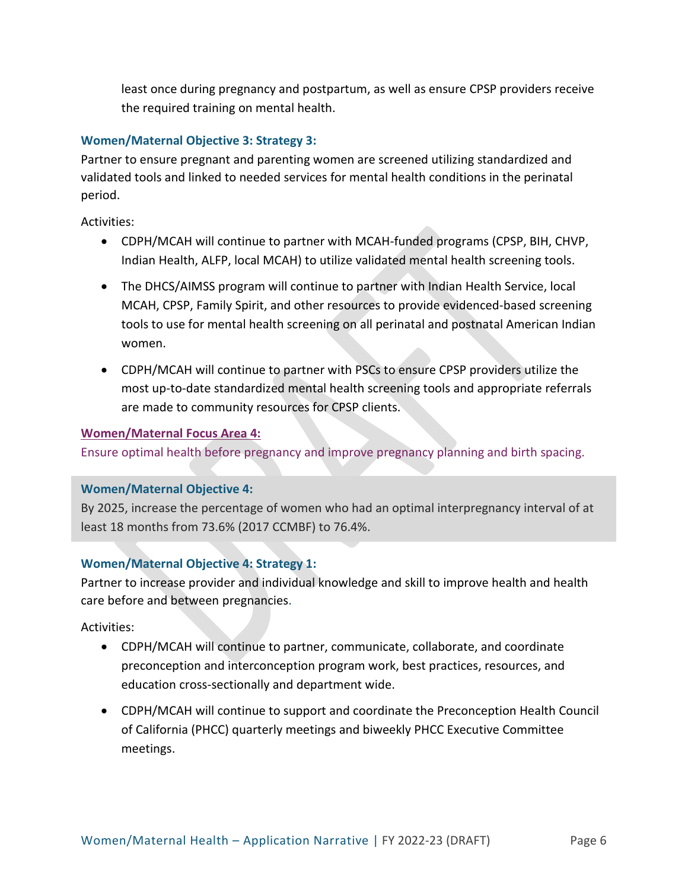least once during pregnancy and postpartum, as well as ensure CPSP providers receive the required training on mental health.

## **Women/Maternal Objective 3: Strategy 3:**

Partner to ensure pregnant and parenting women are screened utilizing standardized and validated tools and linked to needed services for mental health conditions in the perinatal period.

Activities:

- CDPH/MCAH will continue to partner with MCAH-funded programs (CPSP, BIH, CHVP, Indian Health, ALFP, local MCAH) to utilize validated mental health screening tools.
- The DHCS/AIMSS program will continue to partner with Indian Health Service, local MCAH, CPSP, Family Spirit, and other resources to provide evidenced-based screening tools to use for mental health screening on all perinatal and postnatal American Indian women.
- CDPH/MCAH will continue to partner with PSCs to ensure CPSP providers utilize the most up-to-date standardized mental health screening tools and appropriate referrals are made to community resources for CPSP clients.

#### **Women/Maternal Focus Area 4:**

Ensure optimal health before pregnancy and improve pregnancy planning and birth spacing.

#### **Women/Maternal Objective 4:**

By 2025, increase the percentage of women who had an optimal interpregnancy interval of at least 18 months from 73.6% (2017 CCMBF) to 76.4%.

## **Women/Maternal Objective 4: Strategy 1:**

Partner to increase provider and individual knowledge and skill to improve health and health care before and between pregnancies.

- CDPH/MCAH will continue to partner, communicate, collaborate, and coordinate preconception and interconception program work, best practices, resources, and education cross-sectionally and department wide.
- CDPH/MCAH will continue to support and coordinate the Preconception Health Council of California (PHCC) quarterly meetings and biweekly PHCC Executive Committee meetings.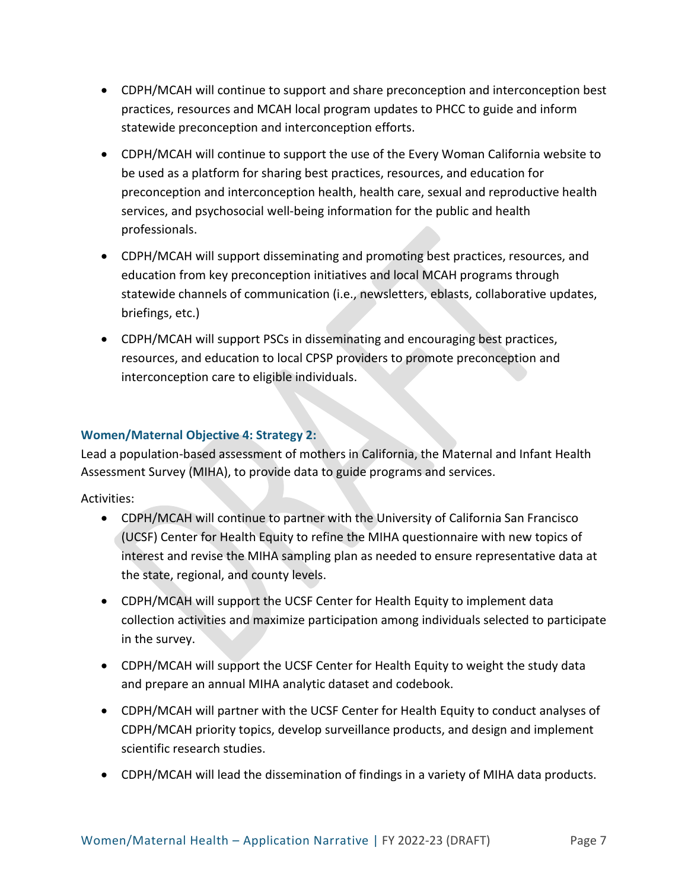- CDPH/MCAH will continue to support and share preconception and interconception best practices, resources and MCAH local program updates to PHCC to guide and inform statewide preconception and interconception efforts.
- CDPH/MCAH will continue to support the use of the Every Woman California website to be used as a platform for sharing best practices, resources, and education for preconception and interconception health, health care, sexual and reproductive health services, and psychosocial well-being information for the public and health professionals.
- CDPH/MCAH will support disseminating and promoting best practices, resources, and education from key preconception initiatives and local MCAH programs through statewide channels of communication (i.e., newsletters, eblasts, collaborative updates, briefings, etc.)
- CDPH/MCAH will support PSCs in disseminating and encouraging best practices, resources, and education to local CPSP providers to promote preconception and interconception care to eligible individuals.

## **Women/Maternal Objective 4: Strategy 2:**

Lead a population-based assessment of mothers in California, the Maternal and Infant Health Assessment Survey (MIHA), to provide data to guide programs and services.

- CDPH/MCAH will continue to partner with the University of California San Francisco (UCSF) Center for Health Equity to refine the MIHA questionnaire with new topics of interest and revise the MIHA sampling plan as needed to ensure representative data at the state, regional, and county levels.
- CDPH/MCAH will support the UCSF Center for Health Equity to implement data collection activities and maximize participation among individuals selected to participate in the survey.
- CDPH/MCAH will support the UCSF Center for Health Equity to weight the study data and prepare an annual MIHA analytic dataset and codebook.
- CDPH/MCAH will partner with the UCSF Center for Health Equity to conduct analyses of CDPH/MCAH priority topics, develop surveillance products, and design and implement scientific research studies.
- CDPH/MCAH will lead the dissemination of findings in a variety of MIHA data products.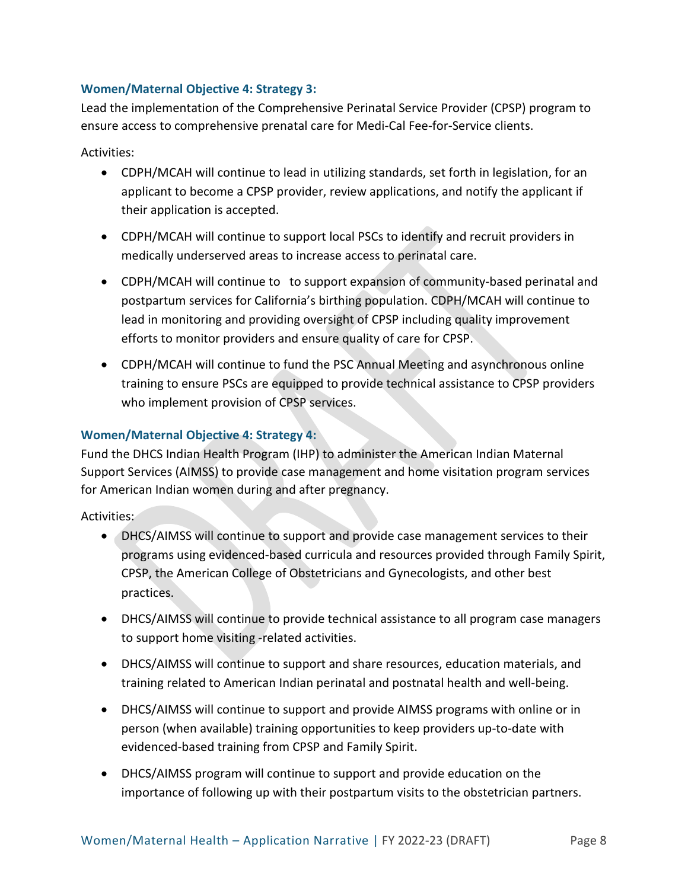## **Women/Maternal Objective 4: Strategy 3:**

Lead the implementation of the Comprehensive Perinatal Service Provider (CPSP) program to ensure access to comprehensive prenatal care for Medi-Cal Fee-for-Service clients.

Activities:

- CDPH/MCAH will continue to lead in utilizing standards, set forth in legislation, for an applicant to become a CPSP provider, review applications, and notify the applicant if their application is accepted.
- CDPH/MCAH will continue to support local PSCs to identify and recruit providers in medically underserved areas to increase access to perinatal care.
- CDPH/MCAH will continue to to support expansion of community-based perinatal and postpartum services for California's birthing population. CDPH/MCAH will continue to lead in monitoring and providing oversight of CPSP including quality improvement efforts to monitor providers and ensure quality of care for CPSP.
- CDPH/MCAH will continue to fund the PSC Annual Meeting and asynchronous online training to ensure PSCs are equipped to provide technical assistance to CPSP providers who implement provision of CPSP services.

## **Women/Maternal Objective 4: Strategy 4:**

Fund the DHCS Indian Health Program (IHP) to administer the American Indian Maternal Support Services (AIMSS) to provide case management and home visitation program services for American Indian women during and after pregnancy.

- DHCS/AIMSS will continue to support and provide case management services to their programs using evidenced-based curricula and resources provided through Family Spirit, CPSP, the American College of Obstetricians and Gynecologists, and other best practices.
- DHCS/AIMSS will continue to provide technical assistance to all program case managers to support home visiting -related activities.
- DHCS/AIMSS will continue to support and share resources, education materials, and training related to American Indian perinatal and postnatal health and well-being.
- DHCS/AIMSS will continue to support and provide AIMSS programs with online or in person (when available) training opportunities to keep providers up-to-date with evidenced-based training from CPSP and Family Spirit.
- DHCS/AIMSS program will continue to support and provide education on the importance of following up with their postpartum visits to the obstetrician partners.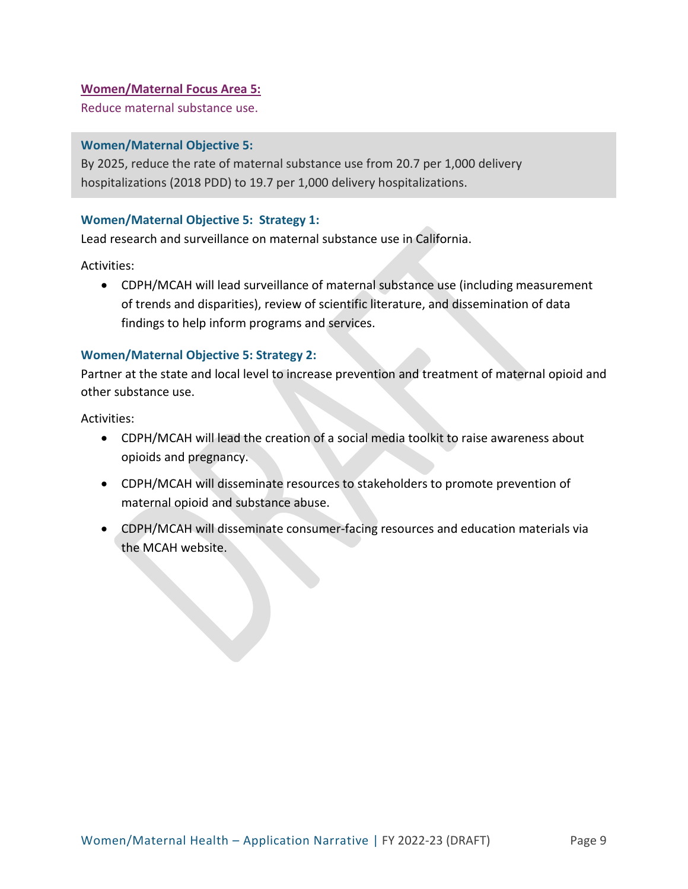### **Women/Maternal Focus Area 5:**

Reduce maternal substance use.

#### **Women/Maternal Objective 5:**

By 2025, reduce the rate of maternal substance use from 20.7 per 1,000 delivery hospitalizations (2018 PDD) to 19.7 per 1,000 delivery hospitalizations.

#### **Women/Maternal Objective 5: Strategy 1:**

Lead research and surveillance on maternal substance use in California.

Activities:

• CDPH/MCAH will lead surveillance of maternal substance use (including measurement of trends and disparities), review of scientific literature, and dissemination of data findings to help inform programs and services.

#### **Women/Maternal Objective 5: Strategy 2:**

Partner at the state and local level to increase prevention and treatment of maternal opioid and other substance use.

- CDPH/MCAH will lead the creation of a social media toolkit to raise awareness about opioids and pregnancy.
- CDPH/MCAH will disseminate resources to stakeholders to promote prevention of maternal opioid and substance abuse.
- CDPH/MCAH will disseminate consumer-facing resources and education materials via the MCAH website.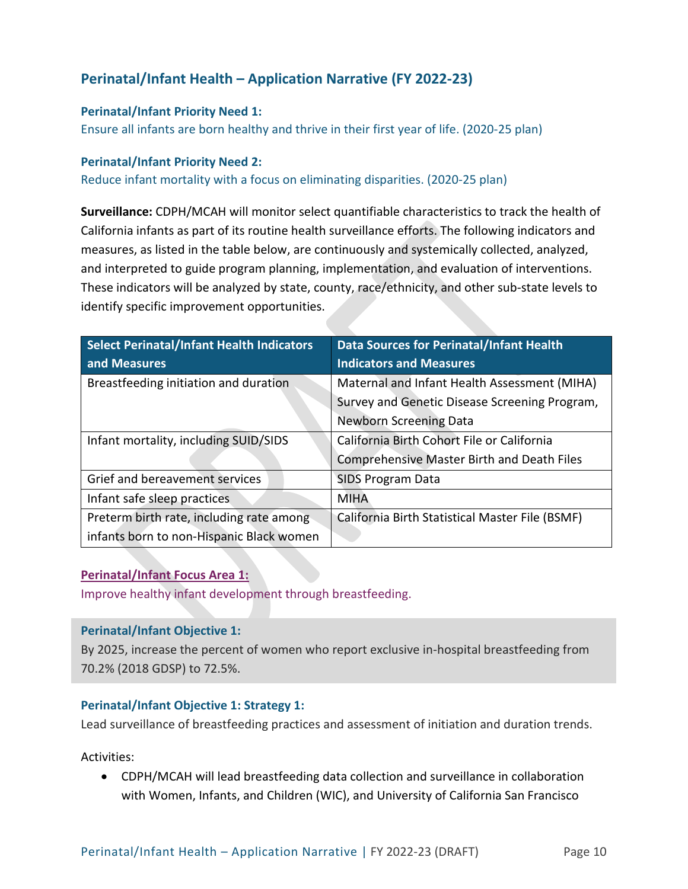# **Perinatal/Infant Health – Application Narrative (FY 2022-23)**

#### **Perinatal/Infant Priority Need 1:**

Ensure all infants are born healthy and thrive in their first year of life. (2020-25 plan)

#### **Perinatal/Infant Priority Need 2:**

Reduce infant mortality with a focus on eliminating disparities. (2020-25 plan)

**Surveillance:** CDPH/MCAH will monitor select quantifiable characteristics to track the health of California infants as part of its routine health surveillance efforts. The following indicators and measures, as listed in the table below, are continuously and systemically collected, analyzed, and interpreted to guide program planning, implementation, and evaluation of interventions. These indicators will be analyzed by state, county, race/ethnicity, and other sub-state levels to identify specific improvement opportunities.

| Select Perinatal/Infant Health Indicators<br>and Measures | <b>Data Sources for Perinatal/Infant Health</b><br><b>Indicators and Measures</b> |
|-----------------------------------------------------------|-----------------------------------------------------------------------------------|
| Breastfeeding initiation and duration                     | Maternal and Infant Health Assessment (MIHA)                                      |
|                                                           | Survey and Genetic Disease Screening Program,                                     |
|                                                           | <b>Newborn Screening Data</b>                                                     |
| Infant mortality, including SUID/SIDS                     | California Birth Cohort File or California                                        |
|                                                           | <b>Comprehensive Master Birth and Death Files</b>                                 |
| Grief and bereavement services                            | <b>SIDS Program Data</b>                                                          |
| Infant safe sleep practices                               | <b>MIHA</b>                                                                       |
| Preterm birth rate, including rate among                  | California Birth Statistical Master File (BSMF)                                   |
| infants born to non-Hispanic Black women                  |                                                                                   |

#### **Perinatal/Infant Focus Area 1:**

Improve healthy infant development through breastfeeding.

#### **Perinatal/Infant Objective 1:**

By 2025, increase the percent of women who report exclusive in-hospital breastfeeding from 70.2% (2018 GDSP) to 72.5%.

#### **Perinatal/Infant Objective 1: Strategy 1:**

Lead surveillance of breastfeeding practices and assessment of initiation and duration trends.

Activities:

• CDPH/MCAH will lead breastfeeding data collection and surveillance in collaboration with Women, Infants, and Children (WIC), and University of California San Francisco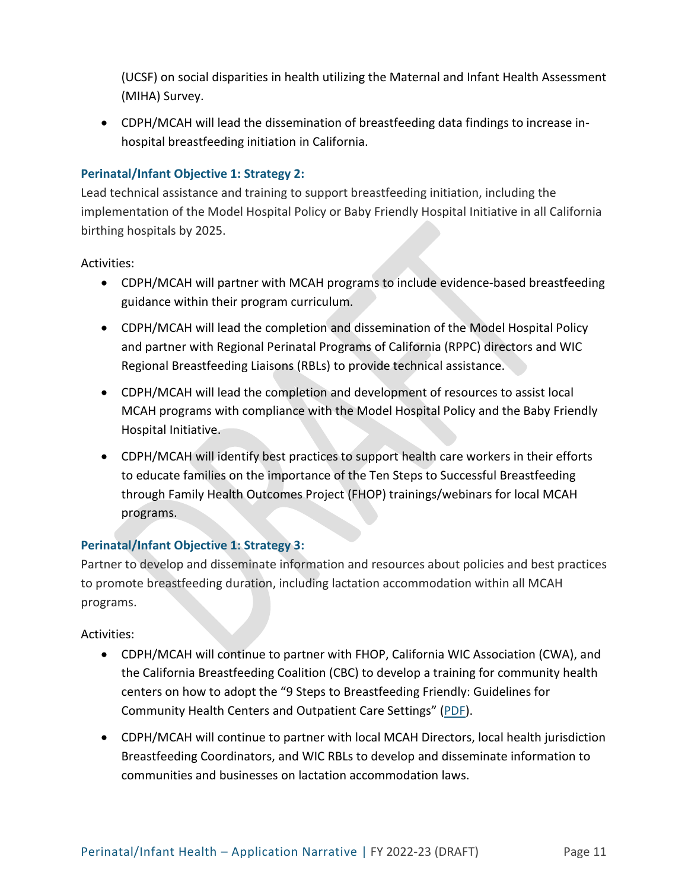(UCSF) on social disparities in health utilizing the Maternal and Infant Health Assessment (MIHA) Survey.

• CDPH/MCAH will lead the dissemination of breastfeeding data findings to increase inhospital breastfeeding initiation in California.

## **Perinatal/Infant Objective 1: Strategy 2:**

Lead technical assistance and training to support breastfeeding initiation, including the implementation of the Model Hospital Policy or Baby Friendly Hospital Initiative in all California birthing hospitals by 2025.

Activities:

- CDPH/MCAH will partner with MCAH programs to include evidence-based breastfeeding guidance within their program curriculum.
- CDPH/MCAH will lead the completion and dissemination of the Model Hospital Policy and partner with Regional Perinatal Programs of California (RPPC) directors and WIC Regional Breastfeeding Liaisons (RBLs) to provide technical assistance.
- CDPH/MCAH will lead the completion and development of resources to assist local MCAH programs with compliance with the Model Hospital Policy and the Baby Friendly Hospital Initiative.
- CDPH/MCAH will identify best practices to support health care workers in their efforts to educate families on the importance of the Ten Steps to Successful Breastfeeding through Family Health Outcomes Project (FHOP) trainings/webinars for local MCAH programs.

## **Perinatal/Infant Objective 1: Strategy 3:**

Partner to develop and disseminate information and resources about policies and best practices to promote breastfeeding duration, including lactation accommodation within all MCAH programs.

- CDPH/MCAH will continue to partner with FHOP, California WIC Association (CWA), and the California Breastfeeding Coalition (CBC) to develop a training for community health centers on how to adopt the "9 Steps to Breastfeeding Friendly: Guidelines for Community Health Centers and Outpatient Care Settings" [\(PDF\)](https://www.calwic.org/storage/documents/bf/2016/9StepGuide.pdf).
- CDPH/MCAH will continue to partner with local MCAH Directors, local health jurisdiction Breastfeeding Coordinators, and WIC RBLs to develop and disseminate information to communities and businesses on lactation accommodation laws.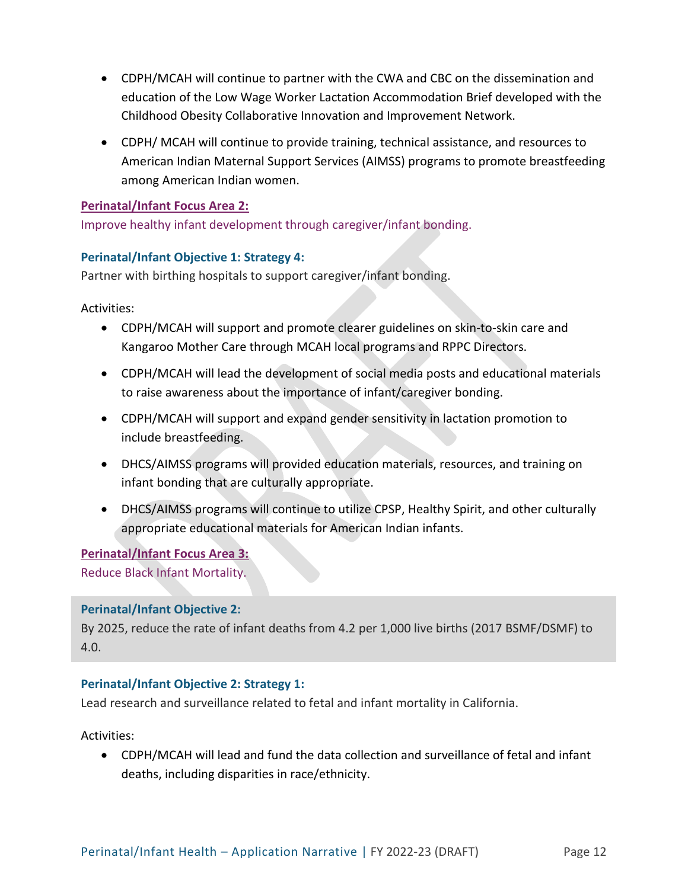- CDPH/MCAH will continue to partner with the CWA and CBC on the dissemination and education of the Low Wage Worker Lactation Accommodation Brief developed with the Childhood Obesity Collaborative Innovation and Improvement Network.
- CDPH/ MCAH will continue to provide training, technical assistance, and resources to American Indian Maternal Support Services (AIMSS) programs to promote breastfeeding among American Indian women.

## **Perinatal/Infant Focus Area 2:**

Improve healthy infant development through caregiver/infant bonding.

## **Perinatal/Infant Objective 1: Strategy 4:**

Partner with birthing hospitals to support caregiver/infant bonding.

Activities:

- CDPH/MCAH will support and promote clearer guidelines on skin-to-skin care and Kangaroo Mother Care through MCAH local programs and RPPC Directors.
- CDPH/MCAH will lead the development of social media posts and educational materials to raise awareness about the importance of infant/caregiver bonding.
- CDPH/MCAH will support and expand gender sensitivity in lactation promotion to include breastfeeding.
- DHCS/AIMSS programs will provided education materials, resources, and training on infant bonding that are culturally appropriate.
- DHCS/AIMSS programs will continue to utilize CPSP, Healthy Spirit, and other culturally appropriate educational materials for American Indian infants.

**Perinatal/Infant Focus Area 3:**  Reduce Black Infant Mortality.

## **Perinatal/Infant Objective 2:**

By 2025, reduce the rate of infant deaths from 4.2 per 1,000 live births (2017 BSMF/DSMF) to 4.0.

## **Perinatal/Infant Objective 2: Strategy 1:**

Lead research and surveillance related to fetal and infant mortality in California.

Activities:

• CDPH/MCAH will lead and fund the data collection and surveillance of fetal and infant deaths, including disparities in race/ethnicity.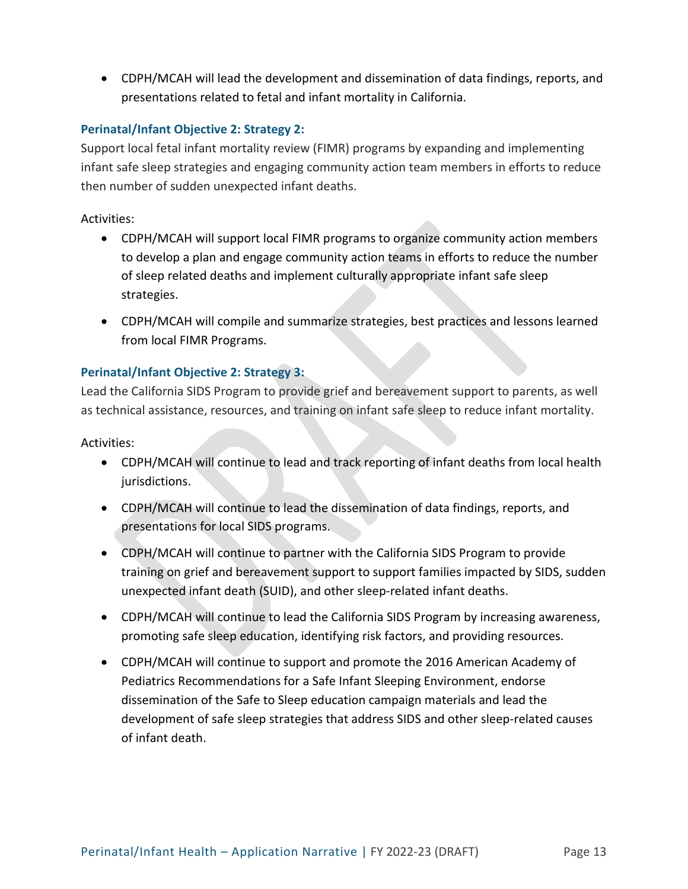• CDPH/MCAH will lead the development and dissemination of data findings, reports, and presentations related to fetal and infant mortality in California.

## **Perinatal/Infant Objective 2: Strategy 2:**

Support local fetal infant mortality review (FIMR) programs by expanding and implementing infant safe sleep strategies and engaging community action team members in efforts to reduce then number of sudden unexpected infant deaths.

## Activities:

- CDPH/MCAH will support local FIMR programs to organize community action members to develop a plan and engage community action teams in efforts to reduce the number of sleep related deaths and implement culturally appropriate infant safe sleep strategies.
- CDPH/MCAH will compile and summarize strategies, best practices and lessons learned from local FIMR Programs.

## **Perinatal/Infant Objective 2: Strategy 3:**

Lead the California SIDS Program to provide grief and bereavement support to parents, as well as technical assistance, resources, and training on infant safe sleep to reduce infant mortality.

- CDPH/MCAH will continue to lead and track reporting of infant deaths from local health jurisdictions.
- CDPH/MCAH will continue to lead the dissemination of data findings, reports, and presentations for local SIDS programs.
- CDPH/MCAH will continue to partner with the California SIDS Program to provide training on grief and bereavement support to support families impacted by SIDS, sudden unexpected infant death (SUID), and other sleep-related infant deaths.
- CDPH/MCAH will continue to lead the California SIDS Program by increasing awareness, promoting safe sleep education, identifying risk factors, and providing resources.
- CDPH/MCAH will continue to support and promote the 2016 American Academy of Pediatrics Recommendations for a Safe Infant Sleeping Environment, endorse dissemination of the Safe to Sleep education campaign materials and lead the development of safe sleep strategies that address SIDS and other sleep-related causes of infant death.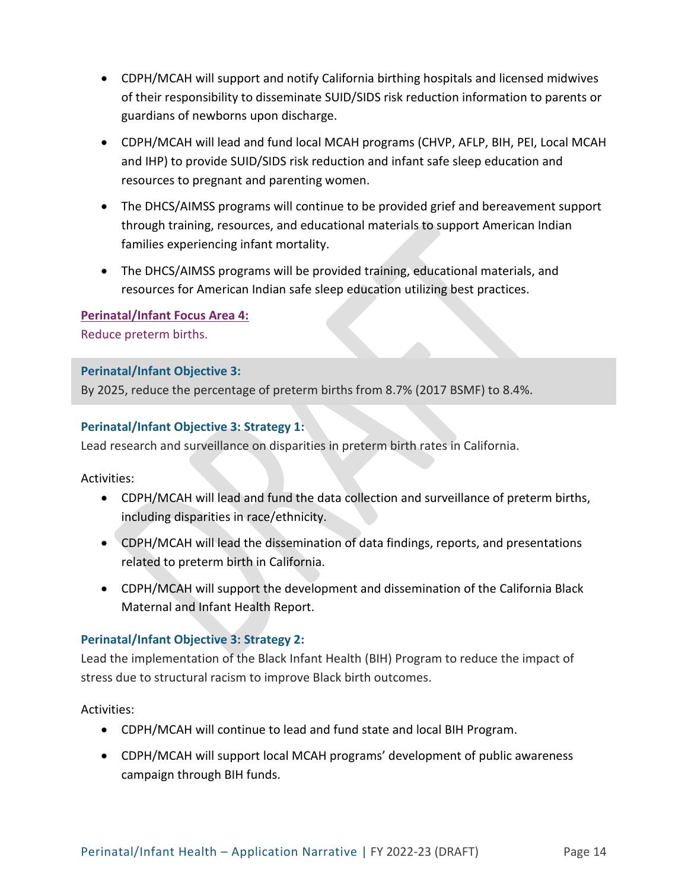- CDPH/MCAH will support and notify California birthing hospitals and licensed midwives of their responsibility to disseminate SUID/SIDS risk reduction information to parents or guardians of newborns upon discharge.
- CDPH/MCAH will lead and fund local MCAH programs (CHVP, AFLP, BIH, PEI, Local MCAH and IHP) to provide SUID/SIDS risk reduction and infant safe sleep education and resources to pregnant and parenting women.
- The DHCS/AIMSS programs will continue to be provided grief and bereavement support through training, resources, and educational materials to support American Indian families experiencing infant mortality.
- The DHCS/AIMSS programs will be provided training, educational materials, and resources for American Indian safe sleep education utilizing best practices.

**Perinatal/Infant Focus Area 4:**  Reduce preterm births.

### **Perinatal/Infant Objective 3:**

By 2025, reduce the percentage of preterm births from 8.7% (2017 BSMF) to 8.4%.

### **Perinatal/Infant Objective 3: Strategy 1:**

Lead research and surveillance on disparities in preterm birth rates in California.

Activities:

- CDPH/MCAH will lead and fund the data collection and surveillance of preterm births, including disparities in race/ethnicity.
- CDPH/MCAH will lead the dissemination of data findings, reports, and presentations related to preterm birth in California.
- CDPH/MCAH will support the development and dissemination of the California Black Maternal and Infant Health Report.

## **Perinatal/Infant Objective 3: Strategy 2:**

Lead the implementation of the Black Infant Health (BIH) Program to reduce the impact of stress due to structural racism to improve Black birth outcomes.

- CDPH/MCAH will continue to lead and fund state and local BIH Program.
- CDPH/MCAH will support local MCAH programs' development of public awareness campaign through BIH funds.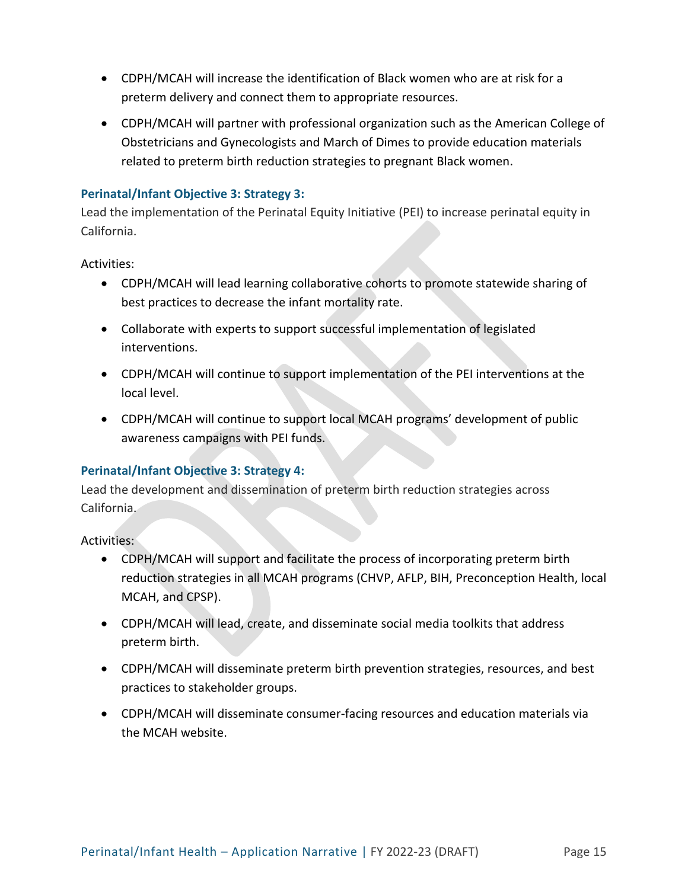- CDPH/MCAH will increase the identification of Black women who are at risk for a preterm delivery and connect them to appropriate resources.
- CDPH/MCAH will partner with professional organization such as the American College of Obstetricians and Gynecologists and March of Dimes to provide education materials related to preterm birth reduction strategies to pregnant Black women.

## **Perinatal/Infant Objective 3: Strategy 3:**

Lead the implementation of the Perinatal Equity Initiative (PEI) to increase perinatal equity in California.

Activities:

- CDPH/MCAH will lead learning collaborative cohorts to promote statewide sharing of best practices to decrease the infant mortality rate.
- Collaborate with experts to support successful implementation of legislated interventions.
- CDPH/MCAH will continue to support implementation of the PEI interventions at the local level.
- CDPH/MCAH will continue to support local MCAH programs' development of public awareness campaigns with PEI funds.

## **Perinatal/Infant Objective 3: Strategy 4:**

Lead the development and dissemination of preterm birth reduction strategies across California.

- CDPH/MCAH will support and facilitate the process of incorporating preterm birth reduction strategies in all MCAH programs (CHVP, AFLP, BIH, Preconception Health, local MCAH, and CPSP).
- CDPH/MCAH will lead, create, and disseminate social media toolkits that address preterm birth.
- CDPH/MCAH will disseminate preterm birth prevention strategies, resources, and best practices to stakeholder groups.
- CDPH/MCAH will disseminate consumer-facing resources and education materials via the MCAH website.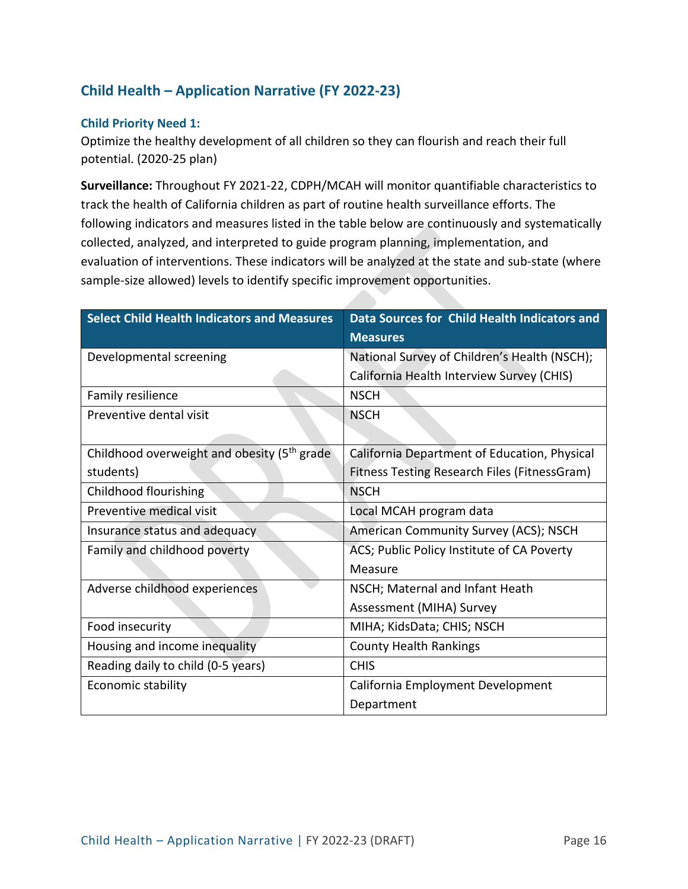# **Child Health – Application Narrative (FY 2022-23)**

#### **Child Priority Need 1:**

Optimize the healthy development of all children so they can flourish and reach their full potential. (2020-25 plan)

**Surveillance:** Throughout FY 2021-22, CDPH/MCAH will monitor quantifiable characteristics to track the health of California children as part of routine health surveillance efforts. The following indicators and measures listed in the table below are continuously and systematically collected, analyzed, and interpreted to guide program planning, implementation, and evaluation of interventions. These indicators will be analyzed at the state and sub-state (where sample-size allowed) levels to identify specific improvement opportunities.

| <b>Select Child Health Indicators and Measures</b>      | Data Sources for Child Health Indicators and |
|---------------------------------------------------------|----------------------------------------------|
|                                                         | <b>Measures</b>                              |
| Developmental screening                                 | National Survey of Children's Health (NSCH); |
|                                                         | California Health Interview Survey (CHIS)    |
| Family resilience                                       | <b>NSCH</b>                                  |
| Preventive dental visit                                 | <b>NSCH</b>                                  |
|                                                         |                                              |
| Childhood overweight and obesity (5 <sup>th</sup> grade | California Department of Education, Physical |
| students)                                               | Fitness Testing Research Files (FitnessGram) |
| Childhood flourishing                                   | <b>NSCH</b>                                  |
| Preventive medical visit                                | Local MCAH program data                      |
| Insurance status and adequacy                           | American Community Survey (ACS); NSCH        |
| Family and childhood poverty                            | ACS; Public Policy Institute of CA Poverty   |
|                                                         | Measure                                      |
| Adverse childhood experiences                           | NSCH; Maternal and Infant Heath              |
|                                                         | Assessment (MIHA) Survey                     |
| Food insecurity                                         | MIHA; KidsData; CHIS; NSCH                   |
| Housing and income inequality                           | <b>County Health Rankings</b>                |
| Reading daily to child (0-5 years)                      | <b>CHIS</b>                                  |
| Economic stability                                      | California Employment Development            |
|                                                         | Department                                   |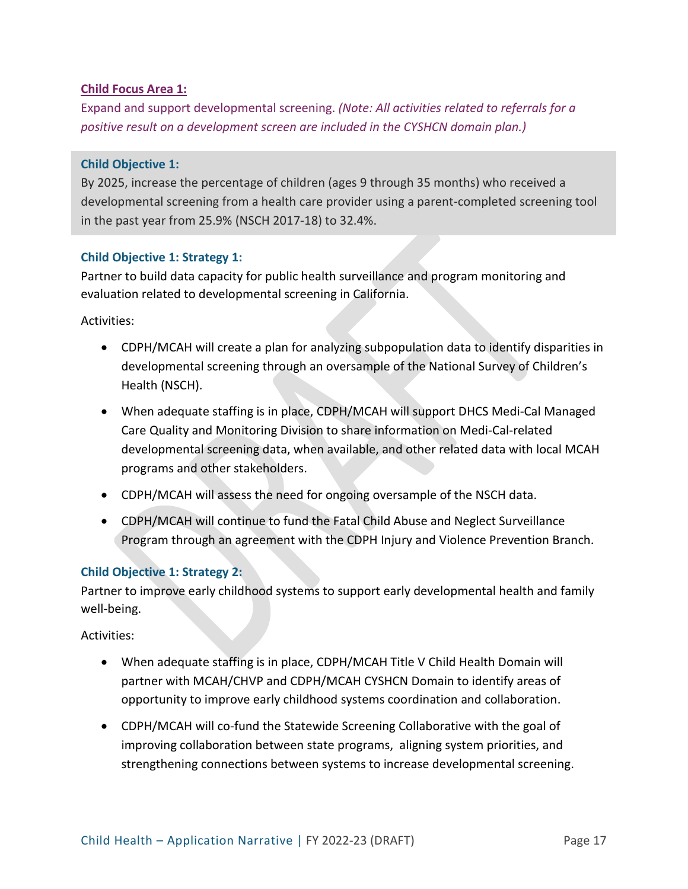#### **Child Focus Area 1:**

Expand and support developmental screening. *(Note: All activities related to referrals for a positive result on a development screen are included in the CYSHCN domain plan.)*

#### **Child Objective 1:**

By 2025, increase the percentage of children (ages 9 through 35 months) who received a developmental screening from a health care provider using a parent-completed screening tool in the past year from 25.9% (NSCH 2017-18) to 32.4%.

#### **Child Objective 1: Strategy 1:**

Partner to build data capacity for public health surveillance and program monitoring and evaluation related to developmental screening in California.

Activities:

- CDPH/MCAH will create a plan for analyzing subpopulation data to identify disparities in developmental screening through an oversample of the National Survey of Children's Health (NSCH).
- When adequate staffing is in place, CDPH/MCAH will support DHCS Medi-Cal Managed Care Quality and Monitoring Division to share information on Medi-Cal-related developmental screening data, when available, and other related data with local MCAH programs and other stakeholders.
- CDPH/MCAH will assess the need for ongoing oversample of the NSCH data.
- CDPH/MCAH will continue to fund the Fatal Child Abuse and Neglect Surveillance Program through an agreement with the CDPH Injury and Violence Prevention Branch.

#### **Child Objective 1: Strategy 2:**

Partner to improve early childhood systems to support early developmental health and family well-being.

- When adequate staffing is in place, CDPH/MCAH Title V Child Health Domain will partner with MCAH/CHVP and CDPH/MCAH CYSHCN Domain to identify areas of opportunity to improve early childhood systems coordination and collaboration.
- CDPH/MCAH will co-fund the Statewide Screening Collaborative with the goal of improving collaboration between state programs, aligning system priorities, and strengthening connections between systems to increase developmental screening.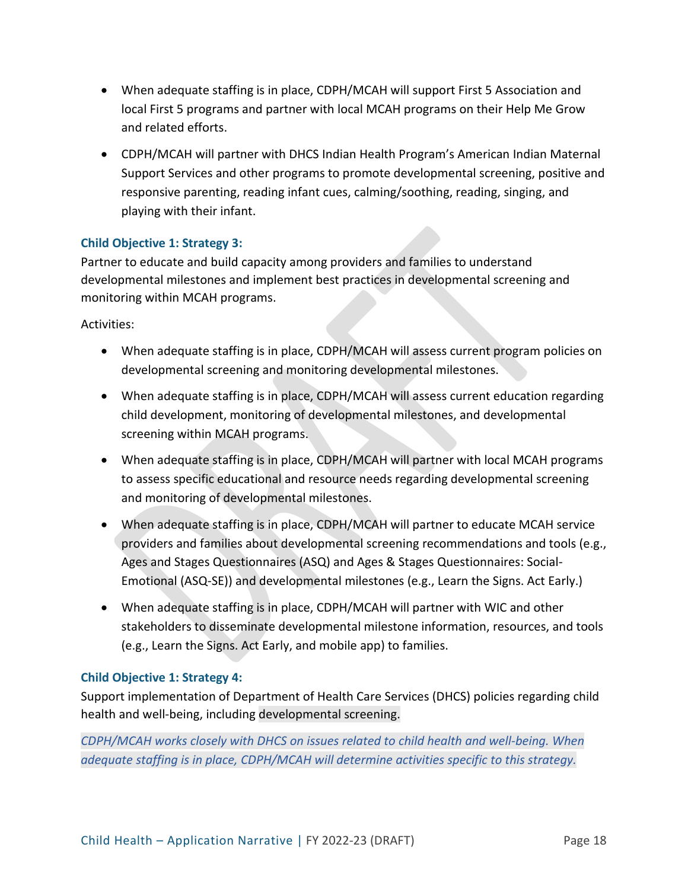- When adequate staffing is in place, CDPH/MCAH will support First 5 Association and local First 5 programs and partner with local MCAH programs on their Help Me Grow and related efforts.
- CDPH/MCAH will partner with DHCS Indian Health Program's American Indian Maternal Support Services and other programs to promote developmental screening, positive and responsive parenting, reading infant cues, calming/soothing, reading, singing, and playing with their infant.

### **Child Objective 1: Strategy 3:**

Partner to educate and build capacity among providers and families to understand developmental milestones and implement best practices in developmental screening and monitoring within MCAH programs.

Activities:

- When adequate staffing is in place, CDPH/MCAH will assess current program policies on developmental screening and monitoring developmental milestones.
- When adequate staffing is in place, CDPH/MCAH will assess current education regarding child development, monitoring of developmental milestones, and developmental screening within MCAH programs.
- When adequate staffing is in place, CDPH/MCAH will partner with local MCAH programs to assess specific educational and resource needs regarding developmental screening and monitoring of developmental milestones.
- When adequate staffing is in place, CDPH/MCAH will partner to educate MCAH service providers and families about developmental screening recommendations and tools (e.g., Ages and Stages Questionnaires (ASQ) and Ages & Stages Questionnaires: Social-Emotional (ASQ-SE)) and developmental milestones (e.g., Learn the Signs. Act Early.)
- When adequate staffing is in place, CDPH/MCAH will partner with WIC and other stakeholders to disseminate developmental milestone information, resources, and tools (e.g., Learn the Signs. Act Early, and mobile app) to families.

#### **Child Objective 1: Strategy 4:**

Support implementation of Department of Health Care Services (DHCS) policies regarding child health and well-being, including developmental screening.

*CDPH/MCAH works closely with DHCS on issues related to child health and well-being. When adequate staffing is in place, CDPH/MCAH will determine activities specific to this strategy.*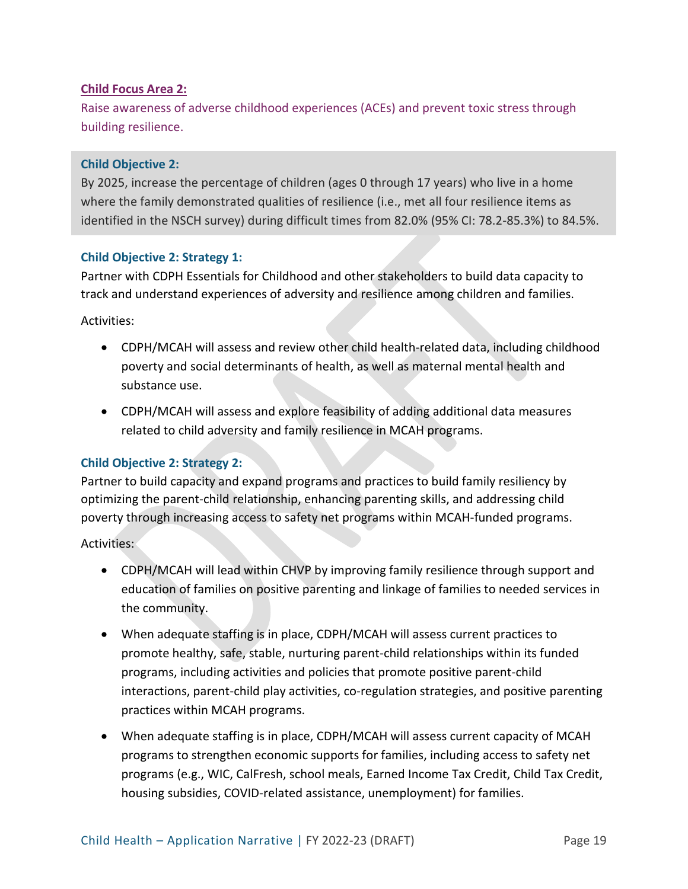#### **Child Focus Area 2:**

Raise awareness of adverse childhood experiences (ACEs) and prevent toxic stress through building resilience.

#### **Child Objective 2:**

By 2025, increase the percentage of children (ages 0 through 17 years) who live in a home where the family demonstrated qualities of resilience (i.e., met all four resilience items as identified in the NSCH survey) during difficult times from 82.0% (95% CI: 78.2-85.3%) to 84.5%.

#### **Child Objective 2: Strategy 1:**

Partner with CDPH Essentials for Childhood and other stakeholders to build data capacity to track and understand experiences of adversity and resilience among children and families.

Activities:

- CDPH/MCAH will assess and review other child health-related data, including childhood poverty and social determinants of health, as well as maternal mental health and substance use.
- CDPH/MCAH will assess and explore feasibility of adding additional data measures related to child adversity and family resilience in MCAH programs.

#### **Child Objective 2: Strategy 2:**

Partner to build capacity and expand programs and practices to build family resiliency by optimizing the parent-child relationship, enhancing parenting skills, and addressing child poverty through increasing access to safety net programs within MCAH-funded programs.

- CDPH/MCAH will lead within CHVP by improving family resilience through support and education of families on positive parenting and linkage of families to needed services in the community.
- When adequate staffing is in place, CDPH/MCAH will assess current practices to promote healthy, safe, stable, nurturing parent-child relationships within its funded programs, including activities and policies that promote positive parent-child interactions, parent-child play activities, co-regulation strategies, and positive parenting practices within MCAH programs.
- When adequate staffing is in place, CDPH/MCAH will assess current capacity of MCAH programs to strengthen economic supports for families, including access to safety net programs (e.g., WIC, CalFresh, school meals, Earned Income Tax Credit, Child Tax Credit, housing subsidies, COVID-related assistance, unemployment) for families.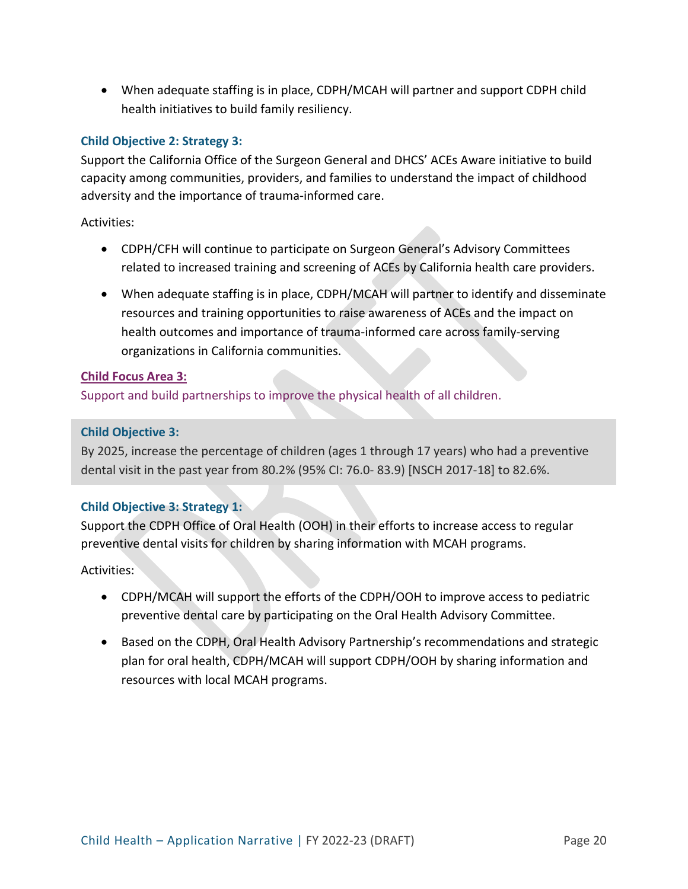• When adequate staffing is in place, CDPH/MCAH will partner and support CDPH child health initiatives to build family resiliency.

### **Child Objective 2: Strategy 3:**

Support the California Office of the Surgeon General and DHCS' ACEs Aware initiative to build capacity among communities, providers, and families to understand the impact of childhood adversity and the importance of trauma-informed care.

Activities:

- CDPH/CFH will continue to participate on Surgeon General's Advisory Committees related to increased training and screening of ACEs by California health care providers.
- When adequate staffing is in place, CDPH/MCAH will partner to identify and disseminate resources and training opportunities to raise awareness of ACEs and the impact on health outcomes and importance of trauma-informed care across family-serving organizations in California communities.

#### **Child Focus Area 3:**

Support and build partnerships to improve the physical health of all children.

#### **Child Objective 3:**

By 2025, increase the percentage of children (ages 1 through 17 years) who had a preventive dental visit in the past year from 80.2% (95% CI: 76.0- 83.9) [NSCH 2017-18] to 82.6%.

#### **Child Objective 3: Strategy 1:**

Support the CDPH Office of Oral Health (OOH) in their efforts to increase access to regular preventive dental visits for children by sharing information with MCAH programs.

- CDPH/MCAH will support the efforts of the CDPH/OOH to improve access to pediatric preventive dental care by participating on the Oral Health Advisory Committee.
- Based on the CDPH, Oral Health Advisory Partnership's recommendations and strategic plan for oral health, CDPH/MCAH will support CDPH/OOH by sharing information and resources with local MCAH programs.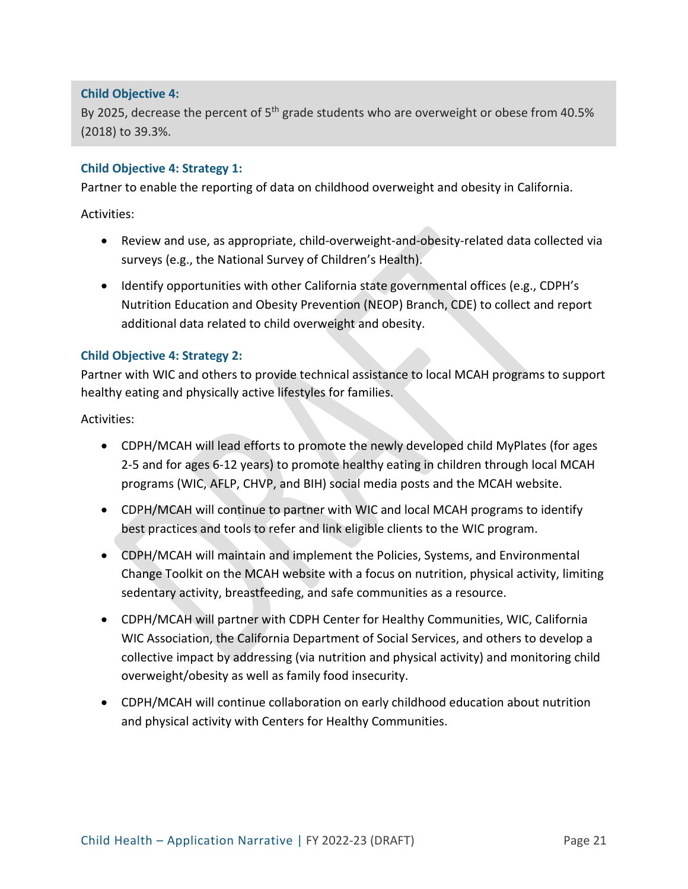#### **Child Objective 4:**

By 2025, decrease the percent of 5<sup>th</sup> grade students who are overweight or obese from 40.5% (2018) to 39.3%.

#### **Child Objective 4: Strategy 1:**

Partner to enable the reporting of data on childhood overweight and obesity in California.

Activities:

- Review and use, as appropriate, child-overweight-and-obesity-related data collected via surveys (e.g., the National Survey of Children's Health).
- Identify opportunities with other California state governmental offices (e.g., CDPH's Nutrition Education and Obesity Prevention (NEOP) Branch, CDE) to collect and report additional data related to child overweight and obesity.

#### **Child Objective 4: Strategy 2:**

Partner with WIC and others to provide technical assistance to local MCAH programs to support healthy eating and physically active lifestyles for families.

- CDPH/MCAH will lead efforts to promote the newly developed child MyPlates (for ages 2-5 and for ages 6-12 years) to promote healthy eating in children through local MCAH programs (WIC, AFLP, CHVP, and BIH) social media posts and the MCAH website.
- CDPH/MCAH will continue to partner with WIC and local MCAH programs to identify best practices and tools to refer and link eligible clients to the WIC program.
- CDPH/MCAH will maintain and implement the Policies, Systems, and Environmental Change Toolkit on the MCAH website with a focus on nutrition, physical activity, limiting sedentary activity, breastfeeding, and safe communities as a resource.
- CDPH/MCAH will partner with CDPH Center for Healthy Communities, WIC, California WIC Association, the California Department of Social Services, and others to develop a collective impact by addressing (via nutrition and physical activity) and monitoring child overweight/obesity as well as family food insecurity.
- CDPH/MCAH will continue collaboration on early childhood education about nutrition and physical activity with Centers for Healthy Communities.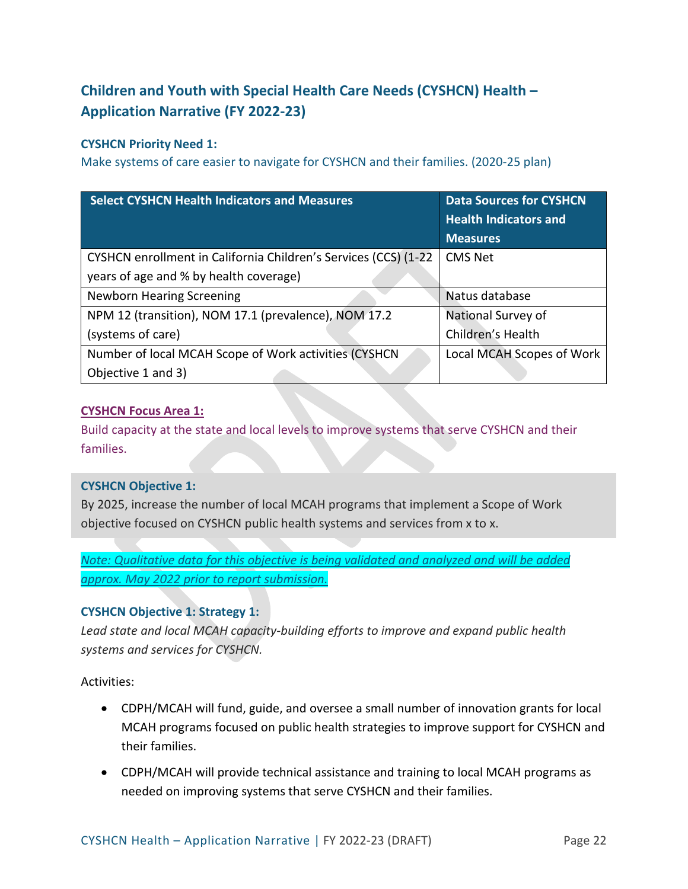# **Children and Youth with Special Health Care Needs (CYSHCN) Health – Application Narrative (FY 2022-23)**

## **CYSHCN Priority Need 1:**

Make systems of care easier to navigate for CYSHCN and their families. (2020-25 plan)

| <b>Select CYSHCN Health Indicators and Measures</b>             | <b>Data Sources for CYSHCN</b><br><b>Health Indicators and</b> |
|-----------------------------------------------------------------|----------------------------------------------------------------|
|                                                                 | <b>Measures</b>                                                |
| CYSHCN enrollment in California Children's Services (CCS) (1-22 | <b>CMS Net</b>                                                 |
| years of age and % by health coverage)                          |                                                                |
| <b>Newborn Hearing Screening</b>                                | Natus database                                                 |
| NPM 12 (transition), NOM 17.1 (prevalence), NOM 17.2            | National Survey of                                             |
| (systems of care)                                               | Children's Health                                              |
| Number of local MCAH Scope of Work activities (CYSHCN           | Local MCAH Scopes of Work                                      |
| Objective 1 and 3)                                              |                                                                |

## **CYSHCN Focus Area 1:**

Build capacity at the state and local levels to improve systems that serve CYSHCN and their families.

## **CYSHCN Objective 1:**

By 2025, increase the number of local MCAH programs that implement a Scope of Work objective focused on CYSHCN public health systems and services from x to x.

*Note: Qualitative data for this objective is being validated and analyzed and will be added approx. May 2022 prior to report submission.* 

## **CYSHCN Objective 1: Strategy 1:**

*Lead state and local MCAH capacity-building efforts to improve and expand public health systems and services for CYSHCN.*

- CDPH/MCAH will fund, guide, and oversee a small number of innovation grants for local MCAH programs focused on public health strategies to improve support for CYSHCN and their families.
- CDPH/MCAH will provide technical assistance and training to local MCAH programs as needed on improving systems that serve CYSHCN and their families.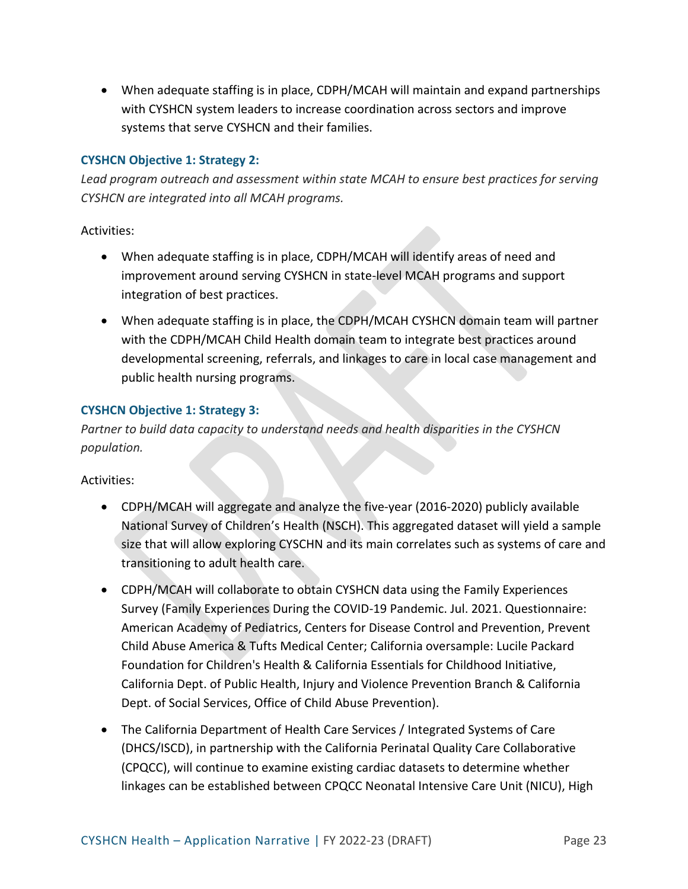• When adequate staffing is in place, CDPH/MCAH will maintain and expand partnerships with CYSHCN system leaders to increase coordination across sectors and improve systems that serve CYSHCN and their families.

## **CYSHCN Objective 1: Strategy 2:**

*Lead program outreach and assessment within state MCAH to ensure best practices for serving CYSHCN are integrated into all MCAH programs.* 

Activities:

- When adequate staffing is in place, CDPH/MCAH will identify areas of need and improvement around serving CYSHCN in state-level MCAH programs and support integration of best practices.
- When adequate staffing is in place, the CDPH/MCAH CYSHCN domain team will partner with the CDPH/MCAH Child Health domain team to integrate best practices around developmental screening, referrals, and linkages to care in local case management and public health nursing programs.

### **CYSHCN Objective 1: Strategy 3:**

*Partner to build data capacity to understand needs and health disparities in the CYSHCN population.*

- CDPH/MCAH will aggregate and analyze the five-year (2016-2020) publicly available National Survey of Children's Health (NSCH). This aggregated dataset will yield a sample size that will allow exploring CYSCHN and its main correlates such as systems of care and transitioning to adult health care.
- CDPH/MCAH will collaborate to obtain CYSHCN data using the Family Experiences Survey (Family Experiences During the COVID-19 Pandemic. Jul. 2021. Questionnaire: American Academy of Pediatrics, Centers for Disease Control and Prevention, Prevent Child Abuse America & Tufts Medical Center; California oversample: Lucile Packard Foundation for Children's Health & California Essentials for Childhood Initiative, California Dept. of Public Health, Injury and Violence Prevention Branch & California Dept. of Social Services, Office of Child Abuse Prevention).
- The California Department of Health Care Services / Integrated Systems of Care (DHCS/ISCD), in partnership with the California Perinatal Quality Care Collaborative (CPQCC), will continue to examine existing cardiac datasets to determine whether linkages can be established between CPQCC Neonatal Intensive Care Unit (NICU), High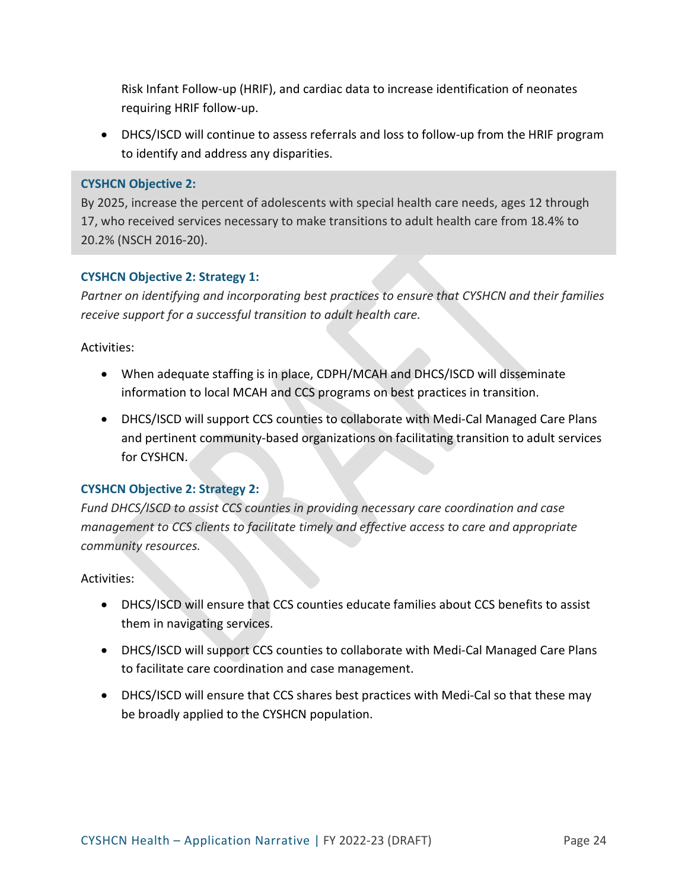Risk Infant Follow-up (HRIF), and cardiac data to increase identification of neonates requiring HRIF follow-up.

• DHCS/ISCD will continue to assess referrals and loss to follow-up from the HRIF program to identify and address any disparities.

#### **CYSHCN Objective 2:**

By 2025, increase the percent of adolescents with special health care needs, ages 12 through 17, who received services necessary to make transitions to adult health care from 18.4% to 20.2% (NSCH 2016-20).

#### **CYSHCN Objective 2: Strategy 1:**

*Partner on identifying and incorporating best practices to ensure that CYSHCN and their families receive support for a successful transition to adult health care.* 

#### Activities:

- When adequate staffing is in place, CDPH/MCAH and DHCS/ISCD will disseminate information to local MCAH and CCS programs on best practices in transition.
- DHCS/ISCD will support CCS counties to collaborate with Medi-Cal Managed Care Plans and pertinent community-based organizations on facilitating transition to adult services for CYSHCN.

#### **CYSHCN Objective 2: Strategy 2:**

*Fund DHCS/ISCD to assist CCS counties in providing necessary care coordination and case management to CCS clients to facilitate timely and effective access to care and appropriate community resources.* 

- DHCS/ISCD will ensure that CCS counties educate families about CCS benefits to assist them in navigating services.
- DHCS/ISCD will support CCS counties to collaborate with Medi-Cal Managed Care Plans to facilitate care coordination and case management.
- DHCS/ISCD will ensure that CCS shares best practices with Medi-Cal so that these may be broadly applied to the CYSHCN population.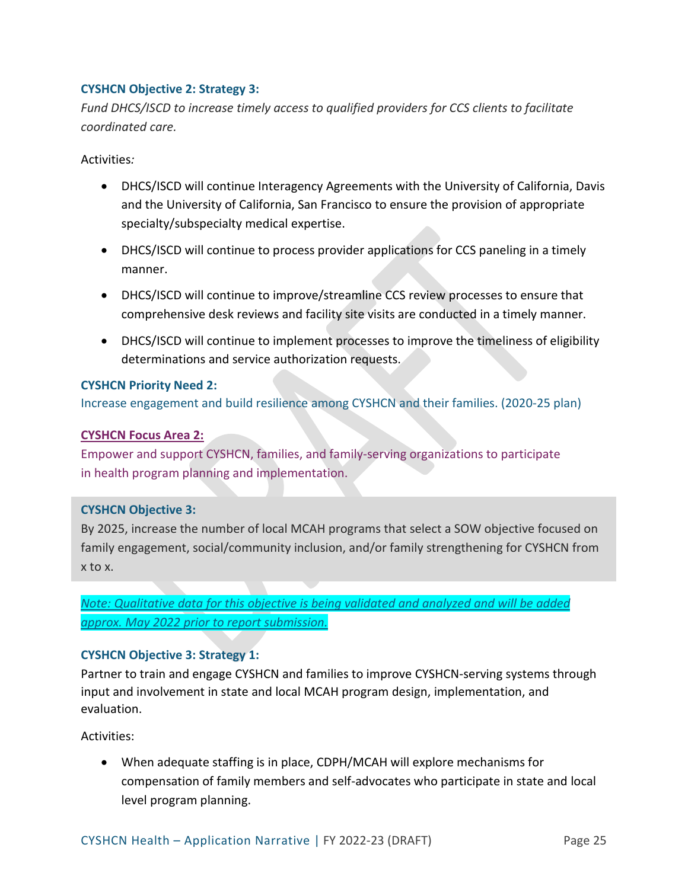## **CYSHCN Objective 2: Strategy 3:**

*Fund DHCS/ISCD to increase timely access to qualified providers for CCS clients to facilitate coordinated care.* 

Activities*:* 

- DHCS/ISCD will continue Interagency Agreements with the University of California, Davis and the University of California, San Francisco to ensure the provision of appropriate specialty/subspecialty medical expertise.
- DHCS/ISCD will continue to process provider applications for CCS paneling in a timely manner.
- DHCS/ISCD will continue to improve/streamline CCS review processes to ensure that comprehensive desk reviews and facility site visits are conducted in a timely manner.
- DHCS/ISCD will continue to implement processes to improve the timeliness of eligibility determinations and service authorization requests.

#### **CYSHCN Priority Need 2:**

Increase engagement and build resilience among CYSHCN and their families. (2020-25 plan)

#### **CYSHCN Focus Area 2:**

Empower and support CYSHCN, families, and family-serving organizations to participate in health program planning and implementation.

#### **CYSHCN Objective 3:**

By 2025, increase the number of local MCAH programs that select a SOW objective focused on family engagement, social/community inclusion, and/or family strengthening for CYSHCN from x to x.

*Note: Qualitative data for this objective is being validated and analyzed and will be added approx. May 2022 prior to report submission.* 

#### **CYSHCN Objective 3: Strategy 1:**

Partner to train and engage CYSHCN and families to improve CYSHCN-serving systems through input and involvement in state and local MCAH program design, implementation, and evaluation.

Activities:

• When adequate staffing is in place, CDPH/MCAH will explore mechanisms for compensation of family members and self-advocates who participate in state and local level program planning.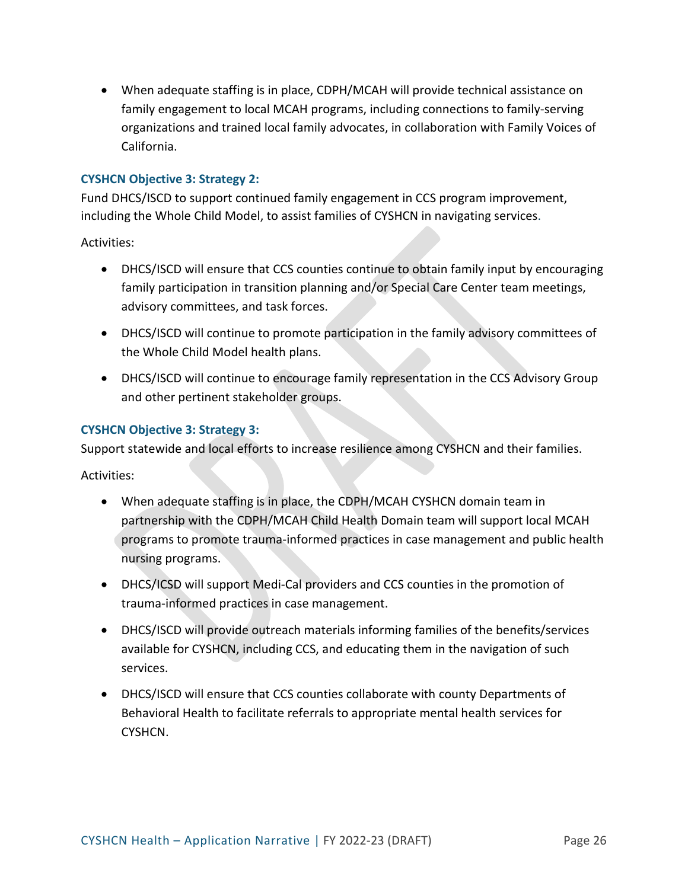• When adequate staffing is in place, CDPH/MCAH will provide technical assistance on family engagement to local MCAH programs, including connections to family-serving organizations and trained local family advocates, in collaboration with Family Voices of California.

#### **CYSHCN Objective 3: Strategy 2:**

Fund DHCS/ISCD to support continued family engagement in CCS program improvement, including the Whole Child Model, to assist families of CYSHCN in navigating services.

Activities:

- DHCS/ISCD will ensure that CCS counties continue to obtain family input by encouraging family participation in transition planning and/or Special Care Center team meetings, advisory committees, and task forces.
- DHCS/ISCD will continue to promote participation in the family advisory committees of the Whole Child Model health plans.
- DHCS/ISCD will continue to encourage family representation in the CCS Advisory Group and other pertinent stakeholder groups.

### **CYSHCN Objective 3: Strategy 3:**

Support statewide and local efforts to increase resilience among CYSHCN and their families.

- When adequate staffing is in place, the CDPH/MCAH CYSHCN domain team in partnership with the CDPH/MCAH Child Health Domain team will support local MCAH programs to promote trauma-informed practices in case management and public health nursing programs.
- DHCS/ICSD will support Medi-Cal providers and CCS counties in the promotion of trauma-informed practices in case management.
- DHCS/ISCD will provide outreach materials informing families of the benefits/services available for CYSHCN, including CCS, and educating them in the navigation of such services.
- DHCS/ISCD will ensure that CCS counties collaborate with county Departments of Behavioral Health to facilitate referrals to appropriate mental health services for CYSHCN.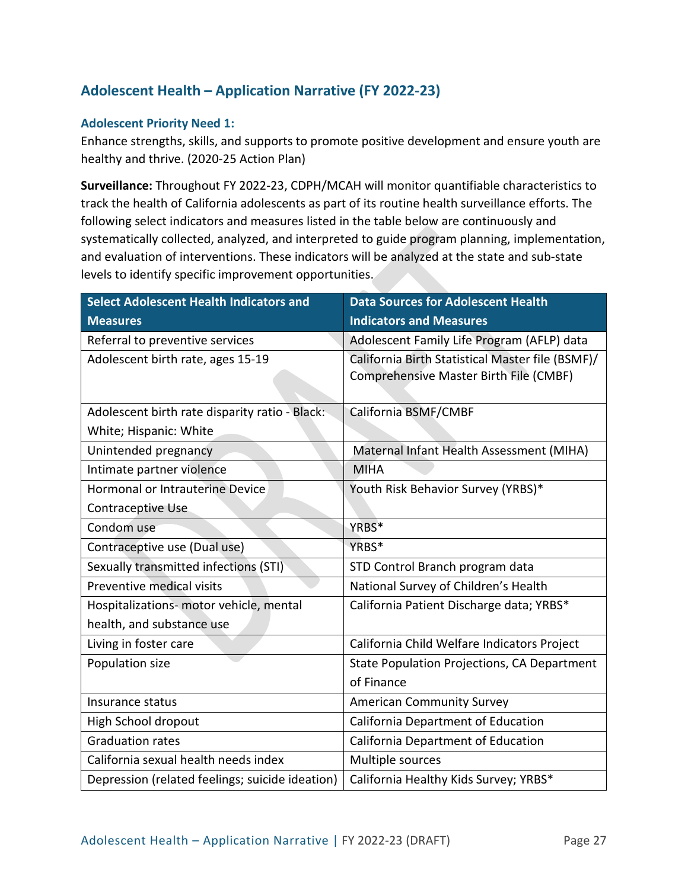## **Adolescent Health – Application Narrative (FY 2022-23)**

#### **Adolescent Priority Need 1:**

Enhance strengths, skills, and supports to promote positive development and ensure youth are healthy and thrive. (2020-25 Action Plan)

**Surveillance:** Throughout FY 2022-23, CDPH/MCAH will monitor quantifiable characteristics to track the health of California adolescents as part of its routine health surveillance efforts. The following select indicators and measures listed in the table below are continuously and systematically collected, analyzed, and interpreted to guide program planning, implementation, and evaluation of interventions. These indicators will be analyzed at the state and sub-state levels to identify specific improvement opportunities.

| <b>Select Adolescent Health Indicators and</b>  | <b>Data Sources for Adolescent Health</b>                                                  |
|-------------------------------------------------|--------------------------------------------------------------------------------------------|
| <b>Measures</b>                                 | <b>Indicators and Measures</b>                                                             |
| Referral to preventive services                 | Adolescent Family Life Program (AFLP) data                                                 |
| Adolescent birth rate, ages 15-19               | California Birth Statistical Master file (BSMF)/<br>Comprehensive Master Birth File (CMBF) |
| Adolescent birth rate disparity ratio - Black:  | California BSMF/CMBF                                                                       |
| White; Hispanic: White                          |                                                                                            |
| Unintended pregnancy                            | Maternal Infant Health Assessment (MIHA)                                                   |
| Intimate partner violence                       | <b>MIHA</b>                                                                                |
| <b>Hormonal or Intrauterine Device</b>          | Youth Risk Behavior Survey (YRBS)*                                                         |
| Contraceptive Use                               |                                                                                            |
| Condom use                                      | YRBS*                                                                                      |
| Contraceptive use (Dual use)                    | YRBS*                                                                                      |
| Sexually transmitted infections (STI)           | STD Control Branch program data                                                            |
| Preventive medical visits                       | National Survey of Children's Health                                                       |
| Hospitalizations- motor vehicle, mental         | California Patient Discharge data; YRBS*                                                   |
| health, and substance use                       |                                                                                            |
| Living in foster care                           | California Child Welfare Indicators Project                                                |
| Population size                                 | State Population Projections, CA Department                                                |
|                                                 | of Finance                                                                                 |
| Insurance status                                | <b>American Community Survey</b>                                                           |
| High School dropout                             | California Department of Education                                                         |
| <b>Graduation rates</b>                         | California Department of Education                                                         |
| California sexual health needs index            | Multiple sources                                                                           |
| Depression (related feelings; suicide ideation) | California Healthy Kids Survey; YRBS*                                                      |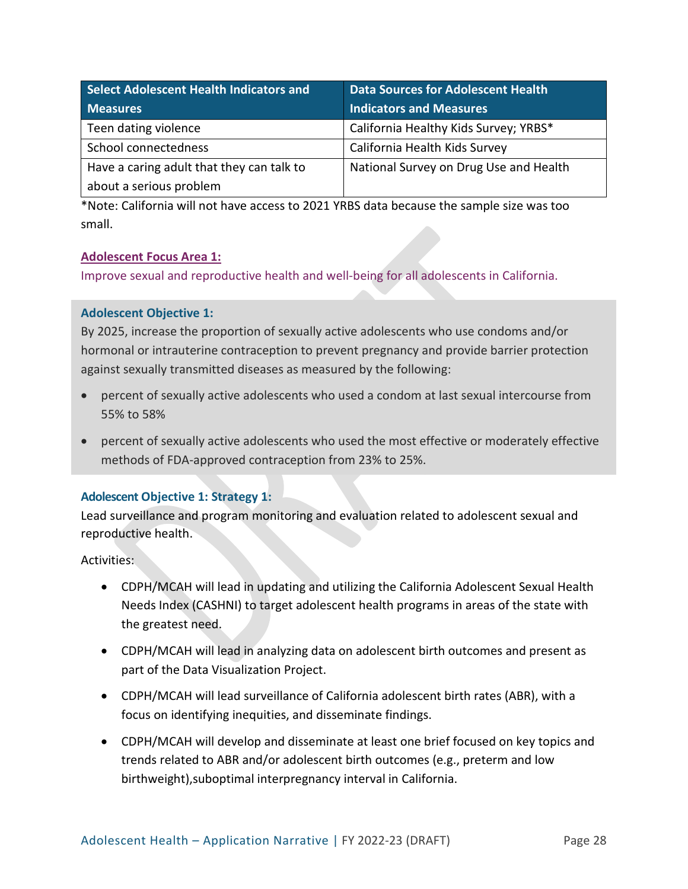| Select Adolescent Health Indicators and   | <b>Data Sources for Adolescent Health</b> |
|-------------------------------------------|-------------------------------------------|
| <b>Measures</b>                           | <b>Indicators and Measures</b>            |
| Teen dating violence                      | California Healthy Kids Survey; YRBS*     |
| School connectedness                      | California Health Kids Survey             |
| Have a caring adult that they can talk to | National Survey on Drug Use and Health    |
| about a serious problem                   |                                           |

\*Note: California will not have access to 2021 YRBS data because the sample size was too small.

### **Adolescent Focus Area 1:**

Improve sexual and reproductive health and well-being for all adolescents in California.

#### **Adolescent Objective 1:**

By 2025, increase the proportion of sexually active adolescents who use condoms and/or hormonal or intrauterine contraception to prevent pregnancy and provide barrier protection against sexually transmitted diseases as measured by the following:

- percent of sexually active adolescents who used a condom at last sexual intercourse from 55% to 58%
- percent of sexually active adolescents who used the most effective or moderately effective methods of FDA-approved contraception from 23% to 25%.

## **Adolescent Objective 1: Strategy 1:**

Lead surveillance and program monitoring and evaluation related to adolescent sexual and reproductive health.

- CDPH/MCAH will lead in updating and utilizing the California Adolescent Sexual Health Needs Index (CASHNI) to target adolescent health programs in areas of the state with the greatest need.
- CDPH/MCAH will lead in analyzing data on adolescent birth outcomes and present as part of the Data Visualization Project.
- CDPH/MCAH will lead surveillance of California adolescent birth rates (ABR), with a focus on identifying inequities, and disseminate findings.
- CDPH/MCAH will develop and disseminate at least one brief focused on key topics and trends related to ABR and/or adolescent birth outcomes (e.g., preterm and low birthweight),suboptimal interpregnancy interval in California.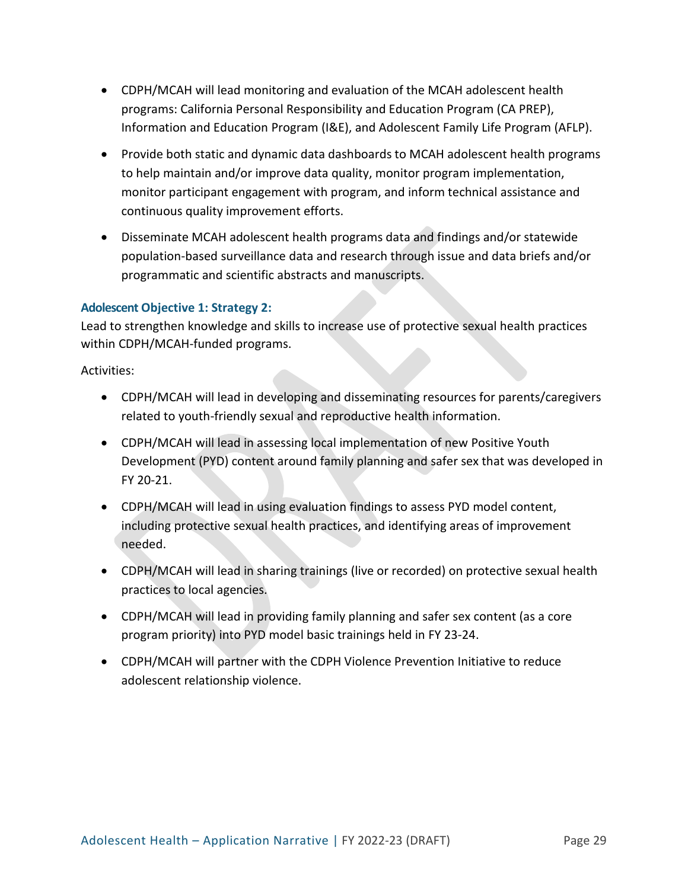- CDPH/MCAH will lead monitoring and evaluation of the MCAH adolescent health programs: California Personal Responsibility and Education Program (CA PREP), Information and Education Program (I&E), and Adolescent Family Life Program (AFLP).
- Provide both static and dynamic data dashboards to MCAH adolescent health programs to help maintain and/or improve data quality, monitor program implementation, monitor participant engagement with program, and inform technical assistance and continuous quality improvement efforts.
- Disseminate MCAH adolescent health programs data and findings and/or statewide population-based surveillance data and research through issue and data briefs and/or programmatic and scientific abstracts and manuscripts.

### **Adolescent Objective 1: Strategy 2:**

Lead to strengthen knowledge and skills to increase use of protective sexual health practices within CDPH/MCAH-funded programs.

- CDPH/MCAH will lead in developing and disseminating resources for parents/caregivers related to youth-friendly sexual and reproductive health information.
- CDPH/MCAH will lead in assessing local implementation of new Positive Youth Development (PYD) content around family planning and safer sex that was developed in FY 20-21.
- CDPH/MCAH will lead in using evaluation findings to assess PYD model content, including protective sexual health practices, and identifying areas of improvement needed.
- CDPH/MCAH will lead in sharing trainings (live or recorded) on protective sexual health practices to local agencies.
- CDPH/MCAH will lead in providing family planning and safer sex content (as a core program priority) into PYD model basic trainings held in FY 23-24.
- CDPH/MCAH will partner with the CDPH Violence Prevention Initiative to reduce adolescent relationship violence.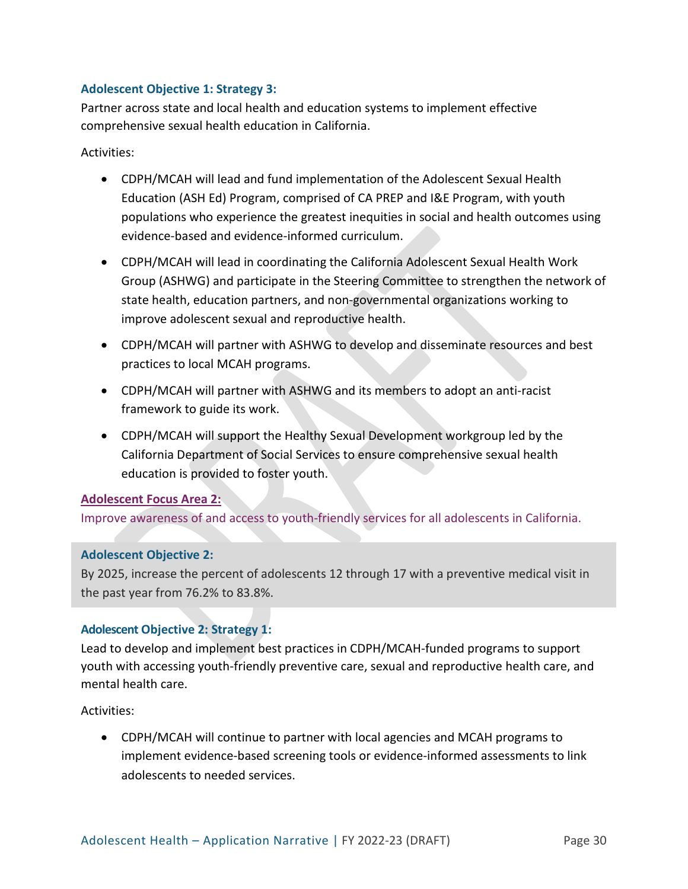### **Adolescent Objective 1: Strategy 3:**

Partner across state and local health and education systems to implement effective comprehensive sexual health education in California.

Activities:

- CDPH/MCAH will lead and fund implementation of the Adolescent Sexual Health Education (ASH Ed) Program, comprised of CA PREP and I&E Program, with youth populations who experience the greatest inequities in social and health outcomes using evidence-based and evidence-informed curriculum.
- CDPH/MCAH will lead in coordinating the California Adolescent Sexual Health Work Group (ASHWG) and participate in the Steering Committee to strengthen the network of state health, education partners, and non-governmental organizations working to improve adolescent sexual and reproductive health.
- CDPH/MCAH will partner with ASHWG to develop and disseminate resources and best practices to local MCAH programs.
- CDPH/MCAH will partner with ASHWG and its members to adopt an anti-racist framework to guide its work.
- CDPH/MCAH will support the Healthy Sexual Development workgroup led by the California Department of Social Services to ensure comprehensive sexual health education is provided to foster youth.

## **Adolescent Focus Area 2:**

Improve awareness of and access to youth-friendly services for all adolescents in California.

#### **Adolescent Objective 2:**

By 2025, increase the percent of adolescents 12 through 17 with a preventive medical visit in the past year from 76.2% to 83.8%.

## **Adolescent Objective 2: Strategy 1:**

Lead to develop and implement best practices in CDPH/MCAH-funded programs to support youth with accessing youth-friendly preventive care, sexual and reproductive health care, and mental health care.

Activities:

• CDPH/MCAH will continue to partner with local agencies and MCAH programs to implement evidence-based screening tools or evidence-informed assessments to link adolescents to needed services.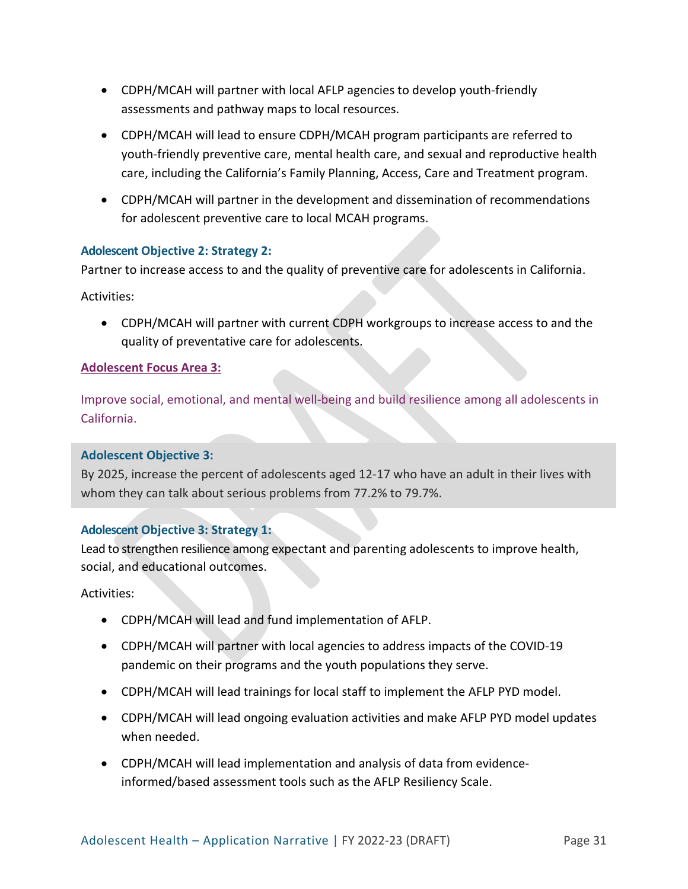- CDPH/MCAH will partner with local AFLP agencies to develop youth-friendly assessments and pathway maps to local resources.
- CDPH/MCAH will lead to ensure CDPH/MCAH program participants are referred to youth-friendly preventive care, mental health care, and sexual and reproductive health care, including the California's Family Planning, Access, Care and Treatment program.
- CDPH/MCAH will partner in the development and dissemination of recommendations for adolescent preventive care to local MCAH programs.

## **Adolescent Objective 2: Strategy 2:**

Partner to increase access to and the quality of preventive care for adolescents in California.

Activities:

• CDPH/MCAH will partner with current CDPH workgroups to increase access to and the quality of preventative care for adolescents.

### **Adolescent Focus Area 3:**

Improve social, emotional, and mental well-being and build resilience among all adolescents in California.

#### **Adolescent Objective 3:**

By 2025, increase the percent of adolescents aged 12-17 who have an adult in their lives with whom they can talk about serious problems from 77.2% to 79.7%.

## **Adolescent Objective 3: Strategy 1:**

Lead to strengthen resilience among expectant and parenting adolescents to improve health, social, and educational outcomes.

- CDPH/MCAH will lead and fund implementation of AFLP.
- CDPH/MCAH will partner with local agencies to address impacts of the COVID-19 pandemic on their programs and the youth populations they serve.
- CDPH/MCAH will lead trainings for local staff to implement the AFLP PYD model.
- CDPH/MCAH will lead ongoing evaluation activities and make AFLP PYD model updates when needed.
- CDPH/MCAH will lead implementation and analysis of data from evidenceinformed/based assessment tools such as the AFLP Resiliency Scale.